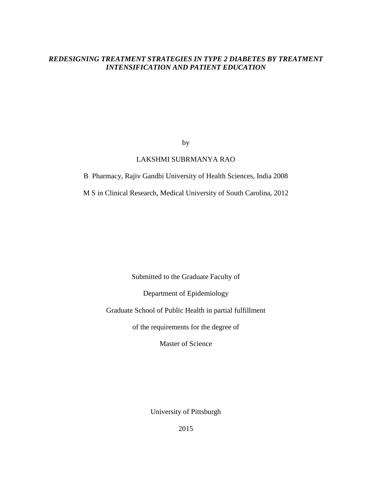# *REDESIGNING TREATMENT STRATEGIES IN TYPE 2 DIABETES BY TREATMENT INTENSIFICATION AND PATIENT EDUCATION*

by

# LAKSHMI SUBRMANYA RAO

B Pharmacy, Rajiv Gandhi University of Health Sciences, India 2008

M S in Clinical Research, Medical University of South Carolina, 2012

Submitted to the Graduate Faculty of

Department of Epidemiology

Graduate School of Public Health in partial fulfillment

of the requirements for the degree of

Master of Science

University of Pittsburgh

2015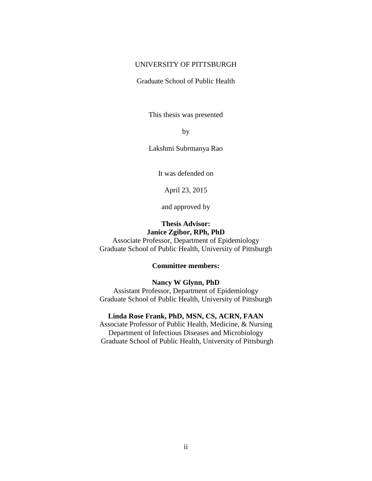# UNIVERSITY OF PITTSBURGH

Graduate School of Public Health

This thesis was presented

by

Lakshmi Subrmanya Rao

It was defended on

April 23, 2015

and approved by

# **Thesis Advisor: Janice Zgibor, RPh, PhD**

Associate Professor, Department of Epidemiology Graduate School of Public Health, University of Pittsburgh

# **Committee members:**

#### **Nancy W Glynn, PhD**

Assistant Professor, Department of Epidemiology Graduate School of Public Health, University of Pittsburgh

### **Linda Rose Frank, PhD, MSN, CS, ACRN, FAAN**

Associate Professor of Public Health, Medicine, & Nursing Department of Infectious Diseases and Microbiology Graduate School of Public Health, University of Pittsburgh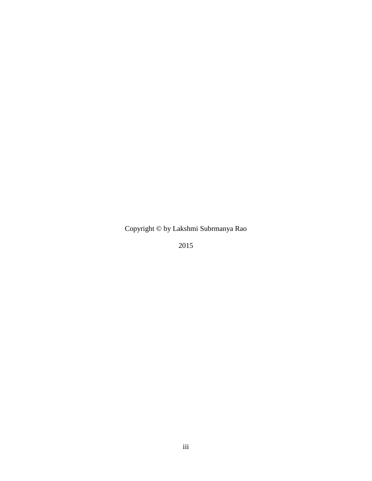Copyright © by Lakshmi Subrmanya Rao

2015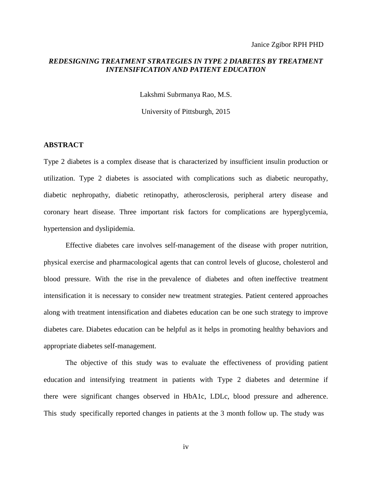Janice Zgibor RPH PHD

# *REDESIGNING TREATMENT STRATEGIES IN TYPE 2 DIABETES BY TREATMENT INTENSIFICATION AND PATIENT EDUCATION*

Lakshmi Subrmanya Rao, M.S.

University of Pittsburgh, 2015

# **ABSTRACT**

Type 2 diabetes is a complex disease that is characterized by insufficient insulin production or utilization. Type 2 diabetes is associated with complications such as diabetic neuropathy, diabetic nephropathy, diabetic retinopathy, atherosclerosis, peripheral artery disease and coronary heart disease. Three important risk factors for complications are hyperglycemia, hypertension and dyslipidemia.

Effective diabetes care involves self-management of the disease with proper nutrition, physical exercise and pharmacological agents that can control levels of glucose, cholesterol and blood pressure. With the rise in the prevalence of diabetes and often ineffective treatment intensification it is necessary to consider new treatment strategies. Patient centered approaches along with treatment intensification and diabetes education can be one such strategy to improve diabetes care. Diabetes education can be helpful as it helps in promoting healthy behaviors and appropriate diabetes self-management.

The objective of this study was to evaluate the effectiveness of providing patient education and intensifying treatment in patients with Type 2 diabetes and determine if there were significant changes observed in HbA1c, LDLc, blood pressure and adherence. This study specifically reported changes in patients at the 3 month follow up. The study was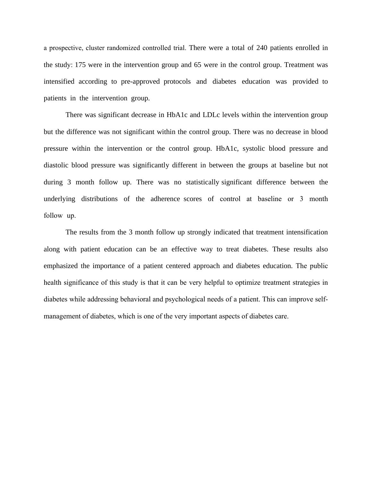a prospective, cluster randomized controlled trial. There were a total of 240 patients enrolled in the study: 175 were in the intervention group and 65 were in the control group. Treatment was intensified according to pre-approved protocols and diabetes education was provided to patients in the intervention group.

There was significant decrease in HbA1c and LDLc levels within the intervention group but the difference was not significant within the control group. There was no decrease in blood pressure within the intervention or the control group. HbA1c, systolic blood pressure and diastolic blood pressure was significantly different in between the groups at baseline but not during 3 month follow up. There was no statistically significant difference between the underlying distributions of the adherence scores of control at baseline or 3 month follow up.

The results from the 3 month follow up strongly indicated that treatment intensification along with patient education can be an effective way to treat diabetes. These results also emphasized the importance of a patient centered approach and diabetes education. The public health significance of this study is that it can be very helpful to optimize treatment strategies in diabetes while addressing behavioral and psychological needs of a patient. This can improve selfmanagement of diabetes, which is one of the very important aspects of diabetes care.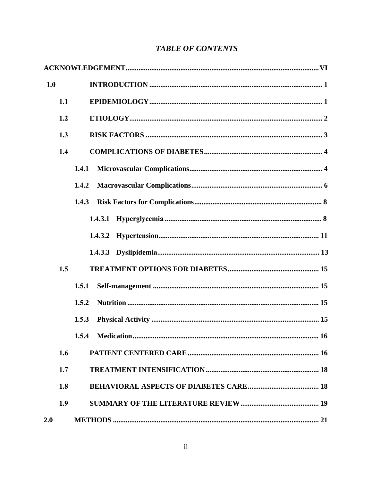| 1.0 |     |                               |
|-----|-----|-------------------------------|
|     | 1.1 |                               |
|     | 1.2 |                               |
|     | 1.3 |                               |
|     | 1.4 |                               |
|     |     | 1.4.1                         |
|     |     | 1.4.2                         |
|     |     | 1.4.3                         |
|     |     |                               |
|     |     |                               |
|     |     |                               |
|     | 1.5 |                               |
|     |     | 1.5.1                         |
|     |     | 1.5.2                         |
|     |     | 1.5.3                         |
|     |     | 1.5.4 Medication<br><b>16</b> |
|     | 1.6 |                               |
|     | 1.7 |                               |
|     | 1.8 |                               |
|     | 1.9 |                               |
| 2.0 |     |                               |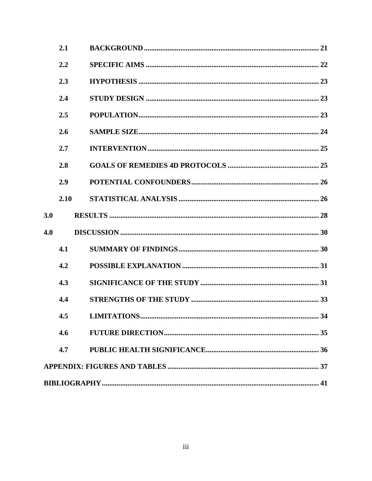|     | 2.1  |  |
|-----|------|--|
|     | 2.2  |  |
|     | 2.3  |  |
|     | 2.4  |  |
|     | 2.5  |  |
|     | 2.6  |  |
|     | 2.7  |  |
|     | 2.8  |  |
|     | 2.9  |  |
|     | 2.10 |  |
| 3.0 |      |  |
| 4.0 |      |  |
|     | 4.1  |  |
|     | 4.2  |  |
|     | 4.3  |  |
|     | 4.4  |  |
|     |      |  |
|     | 4.6  |  |
|     | 4.7  |  |
|     |      |  |
|     |      |  |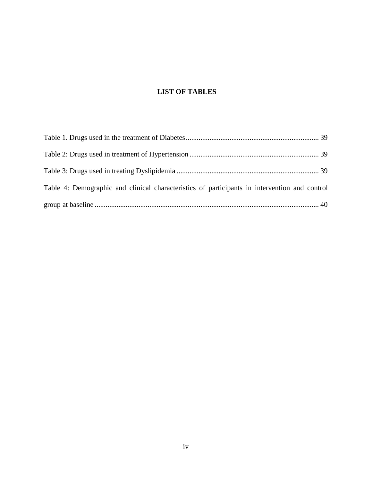# **LIST OF TABLES**

| Table 4: Demographic and clinical characteristics of participants in intervention and control |  |
|-----------------------------------------------------------------------------------------------|--|
|                                                                                               |  |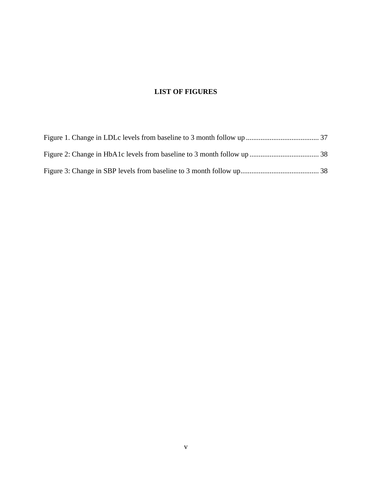# **LIST OF FIGURES**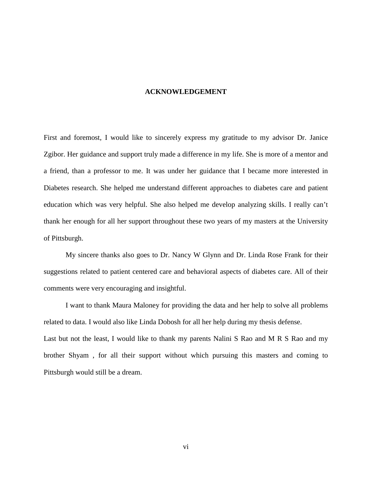### **ACKNOWLEDGEMENT**

<span id="page-9-0"></span>First and foremost, I would like to sincerely express my gratitude to my advisor Dr. Janice Zgibor. Her guidance and support truly made a difference in my life. She is more of a mentor and a friend, than a professor to me. It was under her guidance that I became more interested in Diabetes research. She helped me understand different approaches to diabetes care and patient education which was very helpful. She also helped me develop analyzing skills. I really can't thank her enough for all her support throughout these two years of my masters at the University of Pittsburgh.

My sincere thanks also goes to Dr. Nancy W Glynn and Dr. Linda Rose Frank for their suggestions related to patient centered care and behavioral aspects of diabetes care. All of their comments were very encouraging and insightful.

I want to thank Maura Maloney for providing the data and her help to solve all problems related to data. I would also like Linda Dobosh for all her help during my thesis defense. Last but not the least, I would like to thank my parents Nalini S Rao and M R S Rao and my brother Shyam , for all their support without which pursuing this masters and coming to Pittsburgh would still be a dream.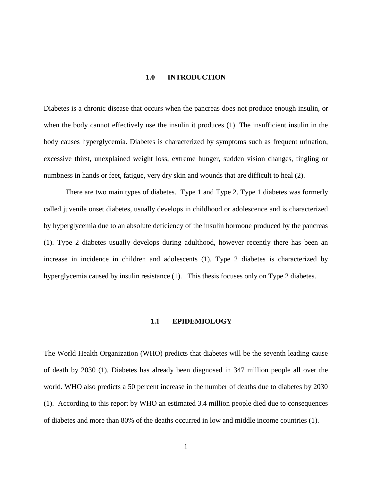# **1.0 INTRODUCTION**

<span id="page-10-0"></span>Diabetes is a chronic disease that occurs when the pancreas does not produce enough insulin, or when the body cannot effectively use the insulin it produces (1). The insufficient insulin in the body causes hyperglycemia. Diabetes is characterized by symptoms such as frequent urination, excessive thirst, unexplained weight loss, extreme hunger, sudden vision changes, tingling or numbness in hands or feet, fatigue, very dry skin and wounds that are difficult to heal (2).

There are two main types of diabetes. Type 1 and Type 2. Type 1 diabetes was formerly called juvenile onset diabetes, usually develops in childhood or adolescence and is characterized by hyperglycemia due to an absolute deficiency of the insulin hormone produced by the pancreas (1). Type 2 diabetes usually develops during adulthood, however recently there has been an increase in incidence in children and adolescents (1). Type 2 diabetes is characterized by hyperglycemia caused by insulin resistance (1). This thesis focuses only on Type 2 diabetes.

#### **1.1 EPIDEMIOLOGY**

<span id="page-10-1"></span>The World Health Organization (WHO) predicts that diabetes will be the seventh leading cause of death by 2030 (1). Diabetes has already been diagnosed in 347 million people all over the world. WHO also predicts a 50 percent increase in the number of deaths due to diabetes by 2030 (1). According to this report by WHO an estimated 3.4 million people died due to consequences of diabetes and more than 80% of the deaths occurred in low and middle income countries (1).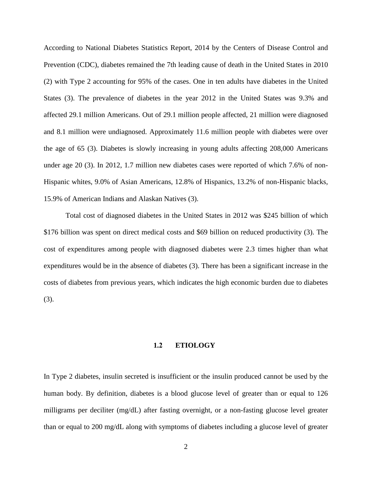According to National Diabetes Statistics Report, 2014 by the Centers of Disease Control and Prevention (CDC), diabetes remained the 7th leading cause of death in the United States in 2010 (2) with Type 2 accounting for 95% of the cases. One in ten adults have diabetes in the United States (3). The prevalence of diabetes in the year 2012 in the United States was 9.3% and affected 29.1 million Americans. Out of 29.1 million people affected, 21 million were diagnosed and 8.1 million were undiagnosed. Approximately 11.6 million people with diabetes were over the age of 65 (3). Diabetes is slowly increasing in young adults affecting 208,000 Americans under age 20 (3). In 2012, 1.7 million new diabetes cases were reported of which 7.6% of non-Hispanic whites, 9.0% of Asian Americans, 12.8% of Hispanics, 13.2% of non-Hispanic blacks, 15.9% of American Indians and Alaskan Natives (3).

Total cost of diagnosed diabetes in the United States in 2012 was \$245 billion of which \$176 billion was spent on direct medical costs and \$69 billion on reduced productivity (3). The cost of expenditures among people with diagnosed diabetes were 2.3 times higher than what expenditures would be in the absence of diabetes (3). There has been a significant increase in the costs of diabetes from previous years, which indicates the high economic burden due to diabetes (3).

### **1.2 ETIOLOGY**

<span id="page-11-0"></span>In Type 2 diabetes, insulin secreted is insufficient or the insulin produced cannot be used by the human body. By definition, diabetes is a blood glucose level of greater than or equal to 126 milligrams per deciliter (mg/dL) after fasting overnight, or a non-fasting glucose level greater than or equal to 200 mg/dL along with symptoms of diabetes including a glucose level of greater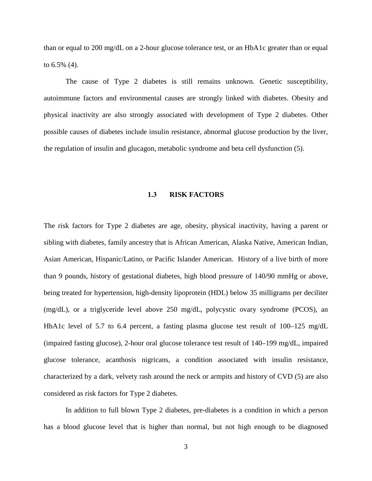than or equal to 200 mg/dL on a 2-hour glucose tolerance test, or an HbA1c greater than or equal to 6.5% (4).

The cause of Type 2 diabetes is still remains unknown. Genetic susceptibility, autoimmune factors and environmental causes are strongly linked with diabetes. Obesity and physical inactivity are also strongly associated with development of Type 2 diabetes. Other possible causes of diabetes include insulin resistance, abnormal glucose production by the liver, the regulation of insulin and glucagon, metabolic syndrome and beta cell dysfunction (5).

### **1.3 RISK FACTORS**

<span id="page-12-0"></span>The risk factors for Type 2 diabetes are age, obesity, physical inactivity, having a parent or sibling with diabetes, family ancestry that is African American, Alaska Native, American Indian, Asian American, Hispanic/Latino, or Pacific Islander American. History of a live birth of more than 9 pounds, history of gestational diabetes, high blood pressure of 140/90 mmHg or above, being treated for hypertension, high-density lipoprotein (HDL) below 35 milligrams per deciliter (mg/dL), or a triglyceride level above 250 mg/dL, polycystic ovary syndrome (PCOS), an HbA1c level of 5.7 to 6.4 percent, a fasting plasma glucose test result of 100–125 mg/dL (impaired fasting glucose), 2-hour oral glucose tolerance test result of 140–199 mg/dL, impaired glucose tolerance, acanthosis nigricans, a condition associated with insulin resistance, characterized by a dark, velvety rash around the neck or armpits and history of CVD (5) are also considered as risk factors for Type 2 diabetes.

In addition to full blown Type 2 diabetes, pre-diabetes is a condition in which a person has a blood glucose level that is higher than normal, but not high enough to be diagnosed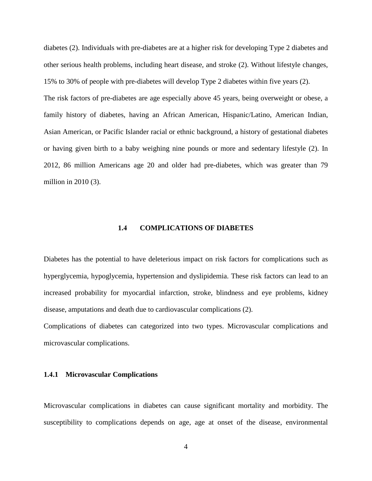diabetes (2). Individuals with pre-diabetes are at a higher risk for developing Type 2 diabetes and other serious health problems, including heart disease, and stroke (2). Without lifestyle changes, 15% to 30% of people with pre-diabetes will develop Type 2 diabetes within five years (2).

The risk factors of pre-diabetes are age especially above 45 years, being overweight or obese, a family history of diabetes, having an African American, Hispanic/Latino, American Indian, Asian American, or Pacific Islander racial or ethnic background, a history of gestational diabetes or having given birth to a baby weighing nine pounds or more and sedentary lifestyle (2). In 2012, 86 million Americans age 20 and older had pre-diabetes, which was greater than 79 million in 2010 (3).

#### **1.4 COMPLICATIONS OF DIABETES**

<span id="page-13-0"></span>Diabetes has the potential to have deleterious impact on risk factors for complications such as hyperglycemia, hypoglycemia, hypertension and dyslipidemia. These risk factors can lead to an increased probability for myocardial infarction, stroke, blindness and eye problems, kidney disease, amputations and death due to cardiovascular complications (2).

Complications of diabetes can categorized into two types. Microvascular complications and microvascular complications.

### <span id="page-13-1"></span>**1.4.1 Microvascular Complications**

Microvascular complications in diabetes can cause significant mortality and morbidity. The susceptibility to complications depends on age, age at onset of the disease, environmental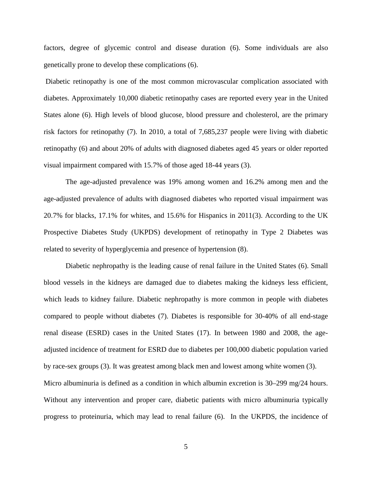factors, degree of glycemic control and disease duration (6). Some individuals are also genetically prone to develop these complications (6).

Diabetic retinopathy is one of the most common microvascular complication associated with diabetes. Approximately 10,000 diabetic retinopathy cases are reported every year in the United States alone (6). High levels of blood glucose, blood pressure and cholesterol, are the primary risk factors for retinopathy (7). In 2010, a total of 7,685,237 people were living with diabetic retinopathy (6) and about 20% of adults with diagnosed diabetes aged 45 years or older reported visual impairment compared with 15.7% of those aged 18-44 years (3).

The age-adjusted prevalence was 19% among women and 16.2% among men and the age-adjusted prevalence of adults with diagnosed diabetes who reported visual impairment was 20.7% for blacks, 17.1% for whites, and 15.6% for Hispanics in 2011(3). According to the UK Prospective Diabetes Study (UKPDS) development of retinopathy in Type 2 Diabetes was related to severity of hyperglycemia and presence of hypertension (8).

Diabetic nephropathy is the leading cause of renal failure in the United States (6). Small blood vessels in the kidneys are damaged due to diabetes making the kidneys less efficient, which leads to kidney failure. Diabetic nephropathy is more common in people with diabetes compared to people without diabetes (7). Diabetes is responsible for 30-40% of all end-stage renal disease (ESRD) cases in the United States (17). In between 1980 and 2008, the ageadjusted incidence of treatment for ESRD due to diabetes per 100,000 diabetic population varied by race-sex groups (3). It was greatest among black men and lowest among white women (3). Micro albuminuria is defined as a condition in which albumin excretion is 30–299 mg/24 hours. Without any intervention and proper care, diabetic patients with micro albuminuria typically progress to proteinuria, which may lead to renal failure (6). In the UKPDS, the incidence of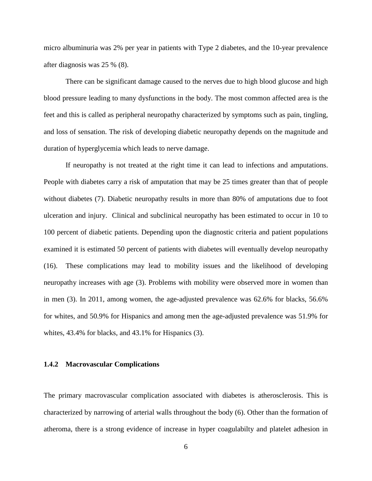micro albuminuria was 2% per year in patients with Type 2 diabetes, and the 10-year prevalence after diagnosis was 25 % (8).

There can be significant damage caused to the nerves due to high blood glucose and high blood pressure leading to many dysfunctions in the body. The most common affected area is the feet and this is called as peripheral neuropathy characterized by symptoms such as pain, tingling, and loss of sensation. The risk of developing diabetic neuropathy depends on the magnitude and duration of hyperglycemia which leads to nerve damage.

If neuropathy is not treated at the right time it can lead to infections and amputations. People with diabetes carry a risk of amputation that may be 25 times greater than that of people without diabetes (7). Diabetic neuropathy results in more than 80% of amputations due to foot ulceration and injury. Clinical and subclinical neuropathy has been estimated to occur in 10 to 100 percent of diabetic patients. Depending upon the diagnostic criteria and patient populations examined it is estimated 50 percent of patients with diabetes will eventually develop neuropathy (16). These complications may lead to mobility issues and the likelihood of developing neuropathy increases with age (3). Problems with mobility were observed more in women than in men (3). In 2011, among women, the age-adjusted prevalence was 62.6% for blacks, 56.6% for whites, and 50.9% for Hispanics and among men the age-adjusted prevalence was 51.9% for whites, 43.4% for blacks, and 43.1% for Hispanics (3).

### <span id="page-15-0"></span>**1.4.2 Macrovascular Complications**

The primary macrovascular complication associated with diabetes is atherosclerosis. This is characterized by narrowing of arterial walls throughout the body (6). Other than the formation of atheroma, there is a strong evidence of increase in hyper coagulabilty and platelet adhesion in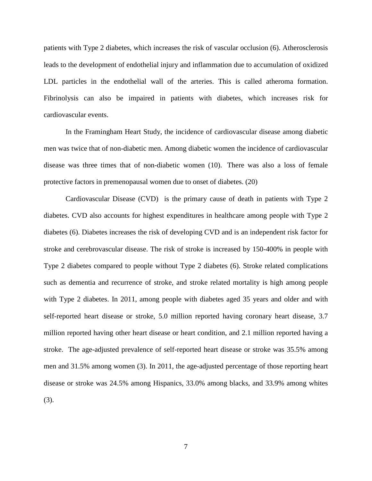patients with Type 2 diabetes, which increases the risk of vascular occlusion (6). Atherosclerosis leads to the development of endothelial injury and inflammation due to accumulation of oxidized LDL particles in the endothelial wall of the arteries. This is called atheroma formation. Fibrinolysis can also be impaired in patients with diabetes, which increases risk for cardiovascular events.

In the Framingham Heart Study, the incidence of cardiovascular disease among diabetic men was twice that of non-diabetic men. Among diabetic women the incidence of cardiovascular disease was three times that of non-diabetic women (10). There was also a loss of female protective factors in premenopausal women due to onset of diabetes. (20)

Cardiovascular Disease (CVD) is the primary cause of death in patients with Type 2 diabetes. CVD also accounts for highest expenditures in healthcare among people with Type 2 diabetes (6). Diabetes increases the risk of developing CVD and is an independent risk factor for stroke and cerebrovascular disease. The risk of stroke is increased by 150-400% in people with Type 2 diabetes compared to people without Type 2 diabetes (6). Stroke related complications such as dementia and recurrence of stroke, and stroke related mortality is high among people with Type 2 diabetes. In 2011, among people with diabetes aged 35 years and older and with self-reported heart disease or stroke, 5.0 million reported having coronary heart disease, 3.7 million reported having other heart disease or heart condition, and 2.1 million reported having a stroke. The age-adjusted prevalence of self-reported heart disease or stroke was 35.5% among men and 31.5% among women (3). In 2011, the age-adjusted percentage of those reporting heart disease or stroke was 24.5% among Hispanics, 33.0% among blacks, and 33.9% among whites (3).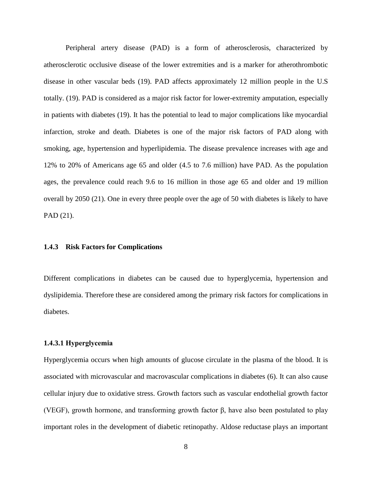Peripheral artery disease (PAD) is a form of atherosclerosis, characterized by atherosclerotic occlusive disease of the lower extremities and is a marker for atherothrombotic disease in other vascular beds (19). PAD affects approximately 12 million people in the U.S totally. (19). PAD is considered as a major risk factor for lower-extremity amputation, especially in patients with diabetes (19). It has the potential to lead to major complications like myocardial infarction, stroke and death. Diabetes is one of the major risk factors of PAD along with smoking, age, hypertension and hyperlipidemia. The disease prevalence increases with age and 12% to 20% of Americans age 65 and older (4.5 to 7.6 million) have PAD. As the population ages, the prevalence could reach 9.6 to 16 million in those age 65 and older and 19 million overall by 2050 (21). One in every three people over the age of 50 with diabetes is likely to have PAD (21).

### <span id="page-17-0"></span>**1.4.3 Risk Factors for Complications**

Different complications in diabetes can be caused due to hyperglycemia, hypertension and dyslipidemia. Therefore these are considered among the primary risk factors for complications in diabetes.

#### <span id="page-17-1"></span>**1.4.3.1 Hyperglycemia**

Hyperglycemia occurs when high amounts of glucose circulate in the plasma of the blood. It is associated with microvascular and macrovascular complications in diabetes (6). It can also cause cellular injury due to oxidative stress. Growth factors such as vascular endothelial growth factor (VEGF), growth hormone, and transforming growth factor β, have also been postulated to play important roles in the development of diabetic retinopathy. Aldose reductase plays an important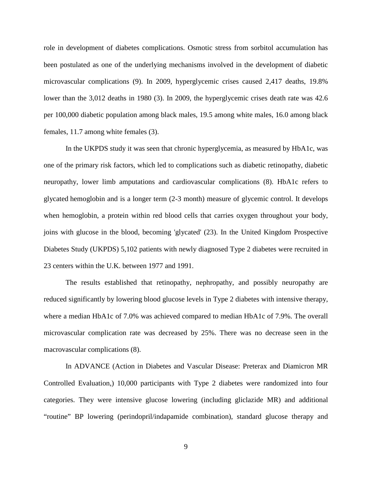role in development of diabetes complications. Osmotic stress from sorbitol accumulation has been postulated as one of the underlying mechanisms involved in the development of diabetic microvascular complications (9). In 2009, hyperglycemic crises caused 2,417 deaths, 19.8% lower than the 3,012 deaths in 1980 (3). In 2009, the hyperglycemic crises death rate was 42.6 per 100,000 diabetic population among black males, 19.5 among white males, 16.0 among black females, 11.7 among white females (3).

In the UKPDS study it was seen that chronic hyperglycemia, as measured by HbA1c, was one of the primary risk factors, which led to complications such as diabetic retinopathy, diabetic neuropathy, lower limb amputations and cardiovascular complications (8). HbA1c refers to glycated hemoglobin and is a longer term (2-3 month) measure of glycemic control. It develops when hemoglobin, a protein within red blood cells that carries oxygen throughout your body, joins with glucose in the blood, becoming 'glycated' (23). In the United Kingdom Prospective Diabetes Study (UKPDS) 5,102 patients with newly diagnosed Type 2 diabetes were recruited in 23 centers within the U.K. between 1977 and 1991.

The results established that retinopathy, nephropathy, and possibly neuropathy are reduced significantly by lowering blood glucose levels in Type 2 diabetes with intensive therapy, where a median HbA1c of 7.0% was achieved compared to median HbA1c of 7.9%. The overall microvascular complication rate was decreased by 25%. There was no decrease seen in the macrovascular complications (8).

In ADVANCE (Action in Diabetes and Vascular Disease: Preterax and Diamicron MR Controlled Evaluation,) 10,000 participants with Type 2 diabetes were randomized into four categories. They were intensive glucose lowering (including gliclazide MR) and additional "routine" BP lowering (perindopril/indapamide combination), standard glucose therapy and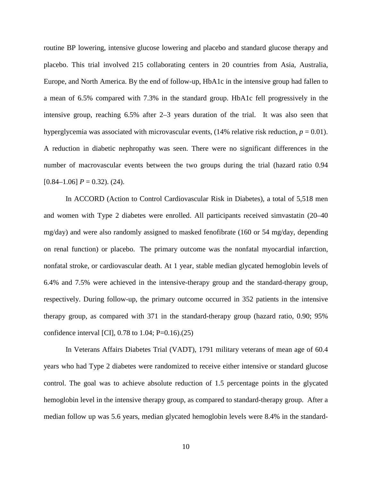routine BP lowering, intensive glucose lowering and placebo and standard glucose therapy and placebo. This trial involved 215 collaborating centers in 20 countries from Asia, Australia, Europe, and North America. By the end of follow-up, HbA1c in the intensive group had fallen to a mean of 6.5% compared with 7.3% in the standard group. HbA1c fell progressively in the intensive group, reaching 6.5% after 2–3 years duration of the trial. It was also seen that hyperglycemia was associated with microvascular events,  $(14%$  relative risk reduction,  $p = 0.01$ ). A reduction in diabetic nephropathy was seen. There were no significant differences in the number of macrovascular events between the two groups during the trial (hazard ratio 0.94  $[0.84-1.06]$   $P = 0.32$ ). (24).

In ACCORD (Action to Control Cardiovascular Risk in Diabetes), a total of 5,518 men and women with Type 2 diabetes were enrolled. All participants received simvastatin (20–40 mg/day) and were also randomly assigned to masked fenofibrate (160 or 54 mg/day, depending on renal function) or placebo. The primary outcome was the nonfatal myocardial infarction, nonfatal stroke, or cardiovascular death. At 1 year, stable median glycated hemoglobin levels of 6.4% and 7.5% were achieved in the intensive-therapy group and the standard-therapy group, respectively. During follow-up, the primary outcome occurred in 352 patients in the intensive therapy group, as compared with 371 in the standard-therapy group (hazard ratio, 0.90; 95% confidence interval [CI],  $0.78$  to  $1.04$ ; P=0.16).(25)

In Veterans Affairs Diabetes Trial (VADT), 1791 military veterans of mean age of 60.4 years who had Type 2 diabetes were randomized to receive either intensive or standard glucose control. The goal was to achieve absolute reduction of 1.5 percentage points in the glycated hemoglobin level in the intensive therapy group, as compared to standard-therapy group. After a median follow up was 5.6 years, median glycated hemoglobin levels were 8.4% in the standard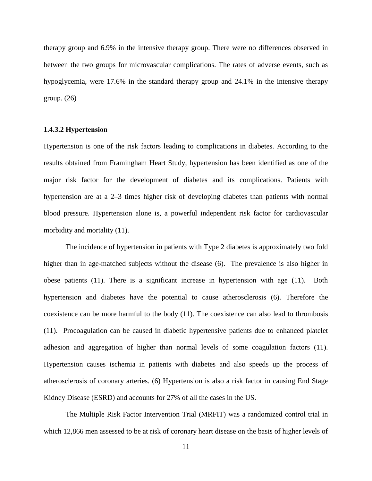therapy group and 6.9% in the intensive therapy group. There were no differences observed in between the two groups for microvascular complications. The rates of adverse events, such as hypoglycemia, were 17.6% in the standard therapy group and 24.1% in the intensive therapy group. (26)

## <span id="page-20-0"></span>**1.4.3.2 Hypertension**

Hypertension is one of the risk factors leading to complications in diabetes. According to the results obtained from Framingham Heart Study, hypertension has been identified as one of the major risk factor for the development of diabetes and its complications. Patients with hypertension are at a 2–3 times higher risk of developing diabetes than patients with normal blood pressure. Hypertension alone is, a powerful independent risk factor for cardiovascular morbidity and mortality (11).

The incidence of hypertension in patients with Type 2 diabetes is approximately two fold higher than in age-matched subjects without the disease (6). The prevalence is also higher in obese patients (11). There is a significant increase in hypertension with age (11). Both hypertension and diabetes have the potential to cause atherosclerosis (6). Therefore the coexistence can be more harmful to the body (11). The coexistence can also lead to thrombosis (11). Procoagulation can be caused in diabetic hypertensive patients due to enhanced platelet adhesion and aggregation of higher than normal levels of some coagulation factors (11). Hypertension causes ischemia in patients with diabetes and also speeds up the process of atherosclerosis of coronary arteries. (6) Hypertension is also a risk factor in causing End Stage Kidney Disease (ESRD) and accounts for 27% of all the cases in the US.

The Multiple Risk Factor Intervention Trial (MRFIT) was a randomized control trial in which 12,866 men assessed to be at risk of coronary heart disease on the basis of higher levels of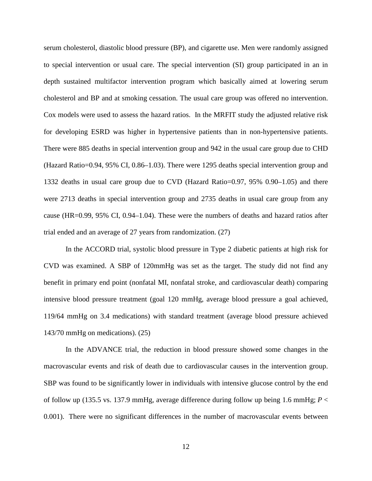serum cholesterol, diastolic blood pressure (BP), and cigarette use. Men were randomly assigned to special intervention or usual care. The special intervention (SI) group participated in an in depth sustained multifactor intervention program which basically aimed at lowering serum cholesterol and BP and at smoking cessation. The usual care group was offered no intervention. Cox models were used to assess the hazard ratios. In the MRFIT study the adjusted relative risk for developing ESRD was higher in hypertensive patients than in non-hypertensive patients. There were 885 deaths in special intervention group and 942 in the usual care group due to CHD (Hazard Ratio=0.94, 95% CI, 0.86–1.03). There were 1295 deaths special intervention group and 1332 deaths in usual care group due to CVD (Hazard Ratio=0.97, 95% 0.90–1.05) and there were 2713 deaths in special intervention group and 2735 deaths in usual care group from any cause (HR=0.99, 95% CI, 0.94–1.04). These were the numbers of deaths and hazard ratios after trial ended and an average of 27 years from randomization. (27)

In the ACCORD trial, systolic blood pressure in Type 2 diabetic patients at high risk for CVD was examined. A SBP of 120mmHg was set as the target. The study did not find any benefit in primary end point (nonfatal MI, nonfatal stroke, and cardiovascular death) comparing intensive blood pressure treatment (goal 120 mmHg, average blood pressure a goal achieved, 119/64 mmHg on 3.4 medications) with standard treatment (average blood pressure achieved 143/70 mmHg on medications). (25)

In the ADVANCE trial, the reduction in blood pressure showed some changes in the macrovascular events and risk of death due to cardiovascular causes in the intervention group. SBP was found to be significantly lower in individuals with intensive glucose control by the end of follow up (135.5 vs. 137.9 mmHg, average difference during follow up being 1.6 mmHg; *P* < 0.001). There were no significant differences in the number of macrovascular events between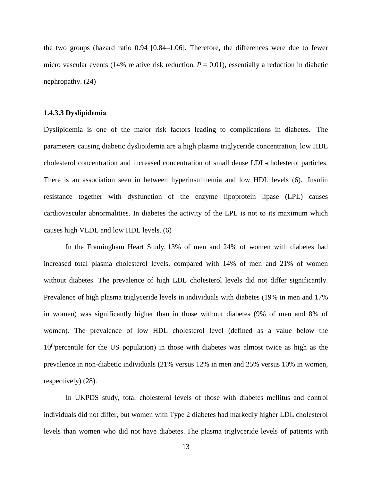the two groups (hazard ratio 0.94 [0.84–1.06]. Therefore, the differences were due to fewer micro vascular events (14% relative risk reduction,  $P = 0.01$ ), essentially a reduction in diabetic nephropathy. (24)

### <span id="page-22-0"></span>**1.4.3.3 Dyslipidemia**

Dyslipidemia is one of the major risk factors leading to complications in diabetes. The parameters causing diabetic dyslipidemia are a high plasma triglyceride concentration, low HDL cholesterol concentration and increased concentration of small dense LDL-cholesterol particles. There is an association seen in between hyperinsulinemia and low HDL levels (6). Insulin resistance together with dysfunction of the enzyme lipoprotein lipase (LPL) causes cardiovascular abnormalities. In diabetes the activity of the LPL is not to its maximum which causes high VLDL and low HDL levels. (6)

In the Framingham Heart Study, 13% of men and 24% of women with diabetes had increased total plasma cholesterol levels, compared with 14% of men and 21% of women without diabetes. The prevalence of high LDL cholesterol levels did not differ significantly. Prevalence of high plasma triglyceride levels in individuals with diabetes (19% in men and 17% in women) was significantly higher than in those without diabetes (9% of men and 8% of women). The prevalence of low HDL cholesterol level (defined as a value below the  $10<sup>th</sup>$  percentile for the US population) in those with diabetes was almost twice as high as the prevalence in non-diabetic individuals (21% versus 12% in men and 25% versus 10% in women, respectively) (28).

In UKPDS study, total cholesterol levels of those with diabetes mellitus and control individuals did not differ, but women with Type 2 diabetes had markedly higher LDL cholesterol levels than women who did not have diabetes. The plasma triglyceride levels of patients with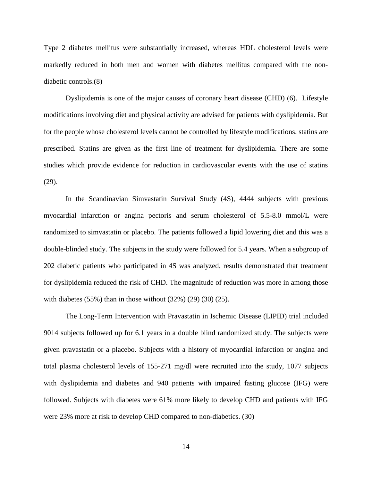Type 2 diabetes mellitus were substantially increased, whereas HDL cholesterol levels were markedly reduced in both men and women with diabetes mellitus compared with the nondiabetic controls.(8)

Dyslipidemia is one of the major causes of coronary heart disease (CHD) (6). Lifestyle modifications involving diet and physical activity are advised for patients with dyslipidemia. But for the people whose cholesterol levels cannot be controlled by lifestyle modifications, statins are prescribed. Statins are given as the first line of treatment for dyslipidemia. There are some studies which provide evidence for reduction in cardiovascular events with the use of statins (29).

In the Scandinavian Simvastatin Survival Study (4S), 4444 subjects with previous myocardial infarction or angina pectoris and serum cholesterol of 5.5-8.0 mmol/L were randomized to simvastatin or placebo. The patients followed a lipid lowering diet and this was a double-blinded study. The subjects in the study were followed for 5.4 years. When a subgroup of 202 diabetic patients who participated in 4S was analyzed, results demonstrated that treatment for dyslipidemia reduced the risk of CHD. The magnitude of reduction was more in among those with diabetes  $(55\%)$  than in those without  $(32\%)$   $(29)$   $(30)$   $(25)$ .

The Long-Term Intervention with Pravastatin in Ischemic Disease (LIPID) trial included 9014 subjects followed up for 6.1 years in a double blind randomized study. The subjects were given pravastatin or a placebo. Subjects with a history of myocardial infarction or angina and total plasma cholesterol levels of 155-271 mg/dl were recruited into the study, 1077 subjects with dyslipidemia and diabetes and 940 patients with impaired fasting glucose (IFG) were followed. Subjects with diabetes were 61% more likely to develop CHD and patients with IFG were 23% more at risk to develop CHD compared to non-diabetics. (30)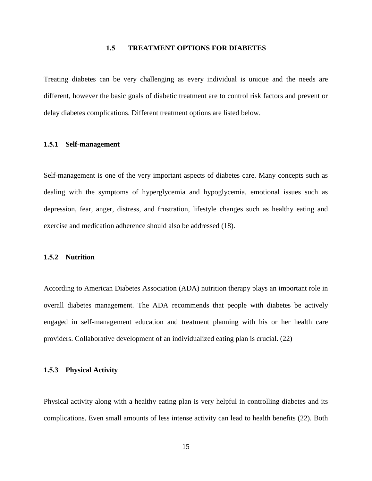#### **1.5 TREATMENT OPTIONS FOR DIABETES**

<span id="page-24-0"></span>Treating diabetes can be very challenging as every individual is unique and the needs are different, however the basic goals of diabetic treatment are to control risk factors and prevent or delay diabetes complications. Different treatment options are listed below.

## <span id="page-24-1"></span>**1.5.1 Self-management**

Self-management is one of the very important aspects of diabetes care. Many concepts such as dealing with the symptoms of hyperglycemia and hypoglycemia, emotional issues such as depression, fear, anger, distress, and frustration, lifestyle changes such as healthy eating and exercise and medication adherence should also be addressed (18).

# <span id="page-24-2"></span>**1.5.2 Nutrition**

According to American Diabetes Association (ADA) nutrition therapy plays an important role in overall diabetes management. The ADA recommends that people with diabetes be actively engaged in self-management education and treatment planning with his or her health care providers. Collaborative development of an individualized eating plan is crucial. (22)

### <span id="page-24-3"></span>**1.5.3 Physical Activity**

Physical activity along with a healthy eating plan is very helpful in controlling diabetes and its complications. Even small amounts of less intense activity can lead to health benefits (22). Both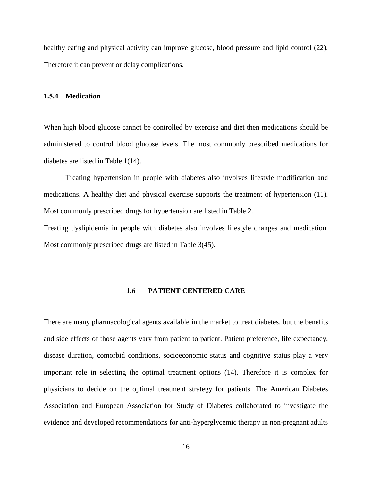healthy eating and physical activity can improve glucose, blood pressure and lipid control (22). Therefore it can prevent or delay complications.

#### <span id="page-25-0"></span>**1.5.4 Medication**

When high blood glucose cannot be controlled by exercise and diet then medications should be administered to control blood glucose levels. The most commonly prescribed medications for diabetes are listed in Table 1(14).

Treating hypertension in people with diabetes also involves lifestyle modification and medications. A healthy diet and physical exercise supports the treatment of hypertension (11). Most commonly prescribed drugs for hypertension are listed in Table 2.

<span id="page-25-1"></span>Treating dyslipidemia in people with diabetes also involves lifestyle changes and medication. Most commonly prescribed drugs are listed in Table 3(45).

### **1.6 PATIENT CENTERED CARE**

There are many pharmacological agents available in the market to treat diabetes, but the benefits and side effects of those agents vary from patient to patient. Patient preference, life expectancy, disease duration, comorbid conditions, socioeconomic status and cognitive status play a very important role in selecting the optimal treatment options (14). Therefore it is complex for physicians to decide on the optimal treatment strategy for patients. The American Diabetes Association and European Association for Study of Diabetes collaborated to investigate the evidence and developed recommendations for anti-hyperglycemic therapy in non-pregnant adults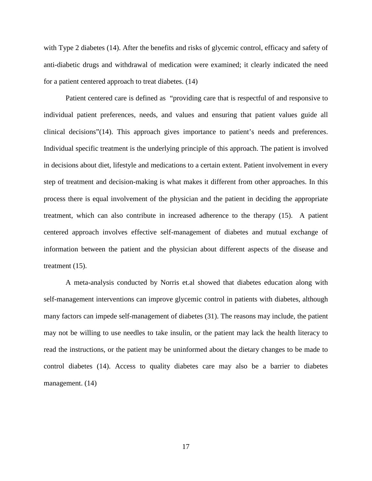with Type 2 diabetes (14). After the benefits and risks of glycemic control, efficacy and safety of anti-diabetic drugs and withdrawal of medication were examined; it clearly indicated the need for a patient centered approach to treat diabetes. (14)

Patient centered care is defined as "providing care that is respectful of and responsive to individual patient preferences, needs, and values and ensuring that patient values guide all clinical decisions"(14). This approach gives importance to patient's needs and preferences. Individual specific treatment is the underlying principle of this approach. The patient is involved in decisions about diet, lifestyle and medications to a certain extent. Patient involvement in every step of treatment and decision-making is what makes it different from other approaches. In this process there is equal involvement of the physician and the patient in deciding the appropriate treatment, which can also contribute in increased adherence to the therapy (15). A patient centered approach involves effective self-management of diabetes and mutual exchange of information between the patient and the physician about different aspects of the disease and treatment (15).

A meta-analysis conducted by Norris et.al showed that diabetes education along with self-management interventions can improve glycemic control in patients with diabetes, although many factors can impede self-management of diabetes (31). The reasons may include, the patient may not be willing to use needles to take insulin, or the patient may lack the health literacy to read the instructions, or the patient may be uninformed about the dietary changes to be made to control diabetes (14). Access to quality diabetes care may also be a barrier to diabetes management. (14)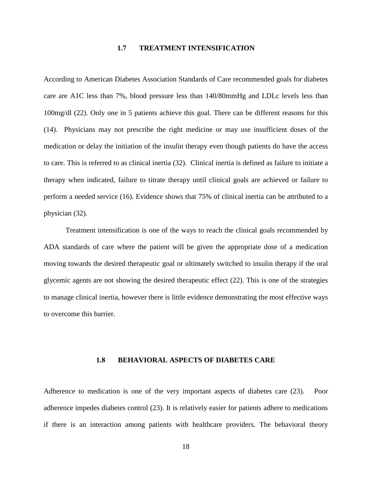# **1.7 TREATMENT INTENSIFICATION**

<span id="page-27-0"></span>According to American Diabetes Association Standards of Care recommended goals for diabetes care are A1C less than 7%, blood pressure less than 140/80mmHg and LDLc levels less than 100mg/dl (22). Only one in 5 patients achieve this goal. There can be different reasons for this (14). Physicians may not prescribe the right medicine or may use insufficient doses of the medication or delay the initiation of the insulin therapy even though patients do have the access to care. This is referred to as clinical inertia (32). Clinical inertia is defined as failure to initiate a therapy when indicated, failure to titrate therapy until clinical goals are achieved or failure to perform a needed service (16). Evidence shows that 75% of clinical inertia can be attributed to a physician (32).

Treatment intensification is one of the ways to reach the clinical goals recommended by ADA standards of care where the patient will be given the appropriate dose of a medication moving towards the desired therapeutic goal or ultimately switched to insulin therapy if the oral glycemic agents are not showing the desired therapeutic effect (22). This is one of the strategies to manage clinical inertia, however there is little evidence demonstrating the most effective ways to overcome this barrier.

#### **1.8 BEHAVIORAL ASPECTS OF DIABETES CARE**

<span id="page-27-1"></span>Adherence to medication is one of the very important aspects of diabetes care (23). Poor adherence impedes diabetes control (23). It is relatively easier for patients adhere to medications if there is an interaction among patients with healthcare providers. The behavioral theory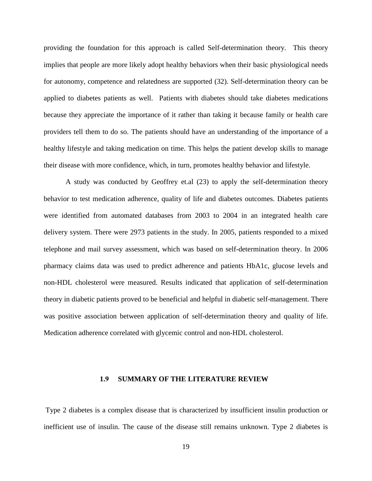providing the foundation for this approach is called Self-determination theory. This theory implies that people are more likely adopt healthy behaviors when their basic physiological needs for autonomy, competence and relatedness are supported (32). Self-determination theory can be applied to diabetes patients as well. Patients with diabetes should take diabetes medications because they appreciate the importance of it rather than taking it because family or health care providers tell them to do so. The patients should have an understanding of the importance of a healthy lifestyle and taking medication on time. This helps the patient develop skills to manage their disease with more confidence, which, in turn, promotes healthy behavior and lifestyle.

A study was conducted by Geoffrey et.al (23) to apply the self-determination theory behavior to test medication adherence, quality of life and diabetes outcomes. Diabetes patients were identified from automated databases from 2003 to 2004 in an integrated health care delivery system. There were 2973 patients in the study. In 2005, patients responded to a mixed telephone and mail survey assessment, which was based on self-determination theory. In 2006 pharmacy claims data was used to predict adherence and patients HbA1c, glucose levels and non-HDL cholesterol were measured. Results indicated that application of self-determination theory in diabetic patients proved to be beneficial and helpful in diabetic self-management. There was positive association between application of self-determination theory and quality of life. Medication adherence correlated with glycemic control and non-HDL cholesterol.

#### **1.9 SUMMARY OF THE LITERATURE REVIEW**

<span id="page-28-0"></span>Type 2 diabetes is a complex disease that is characterized by insufficient insulin production or inefficient use of insulin. The cause of the disease still remains unknown. Type 2 diabetes is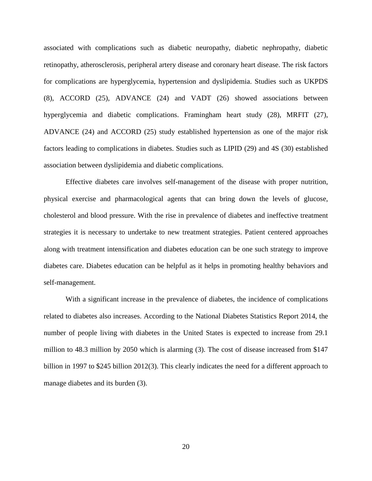associated with complications such as diabetic neuropathy, diabetic nephropathy, diabetic retinopathy, atherosclerosis, peripheral artery disease and coronary heart disease. The risk factors for complications are hyperglycemia, hypertension and dyslipidemia. Studies such as UKPDS (8), ACCORD (25), ADVANCE (24) and VADT (26) showed associations between hyperglycemia and diabetic complications. Framingham heart study (28), MRFIT (27), ADVANCE (24) and ACCORD (25) study established hypertension as one of the major risk factors leading to complications in diabetes. Studies such as LIPID (29) and 4S (30) established association between dyslipidemia and diabetic complications.

Effective diabetes care involves self-management of the disease with proper nutrition, physical exercise and pharmacological agents that can bring down the levels of glucose, cholesterol and blood pressure. With the rise in prevalence of diabetes and ineffective treatment strategies it is necessary to undertake to new treatment strategies. Patient centered approaches along with treatment intensification and diabetes education can be one such strategy to improve diabetes care. Diabetes education can be helpful as it helps in promoting healthy behaviors and self-management.

With a significant increase in the prevalence of diabetes, the incidence of complications related to diabetes also increases. According to the National Diabetes Statistics Report 2014, the number of people living with diabetes in the United States is expected to increase from 29.1 million to 48.3 million by 2050 which is alarming (3). The cost of disease increased from \$147 billion in 1997 to \$245 billion 2012(3). This clearly indicates the need for a different approach to manage diabetes and its burden (3).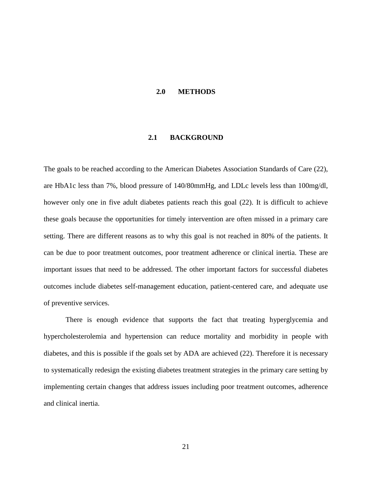#### <span id="page-30-0"></span>**2.0 METHODS**

## **2.1 BACKGROUND**

<span id="page-30-1"></span>The goals to be reached according to the American Diabetes Association Standards of Care (22), are HbA1c less than 7%, blood pressure of 140/80mmHg, and LDLc levels less than 100mg/dl, however only one in five adult diabetes patients reach this goal (22). It is difficult to achieve these goals because the opportunities for timely intervention are often missed in a primary care setting. There are different reasons as to why this goal is not reached in 80% of the patients. It can be due to poor treatment outcomes, poor treatment adherence or clinical inertia. These are important issues that need to be addressed. The other important factors for successful diabetes outcomes include diabetes self-management education, patient-centered care, and adequate use of preventive services.

There is enough evidence that supports the fact that treating hyperglycemia and hypercholesterolemia and hypertension can reduce mortality and morbidity in people with diabetes, and this is possible if the goals set by ADA are achieved (22). Therefore it is necessary to systematically redesign the existing diabetes treatment strategies in the primary care setting by implementing certain changes that address issues including poor treatment outcomes, adherence and clinical inertia.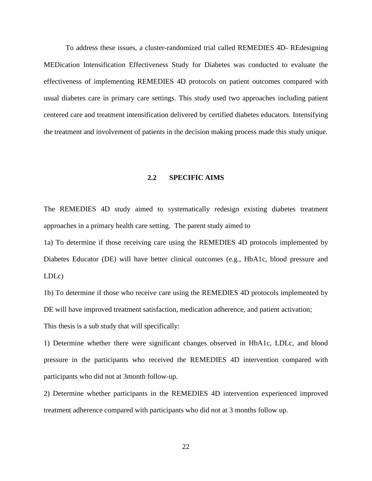To address these issues, a cluster-randomized trial called REMEDIES 4D- REdesigning MEDication Intensification Effectiveness Study for Diabetes was conducted to evaluate the effectiveness of implementing REMEDIES 4D protocols on patient outcomes compared with usual diabetes care in primary care settings. This study used two approaches including patient centered care and treatment intensification delivered by certified diabetes educators. Intensifying the treatment and involvement of patients in the decision making process made this study unique.

# **2.2 SPECIFIC AIMS**

<span id="page-31-0"></span>The REMEDIES 4D study aimed to systematically redesign existing diabetes treatment approaches in a primary health care setting. The parent study aimed to

1a) To determine if those receiving care using the REMEDIES 4D protocols implemented by Diabetes Educator (DE) will have better clinical outcomes (e.g., HbA1c, blood pressure and LDLc)

1b) To determine if those who receive care using the REMEDIES 4D protocols implemented by DE will have improved treatment satisfaction, medication adherence, and patient activation; This thesis is a sub study that will specifically:

1) Determine whether there were significant changes observed in HbA1c, LDLc, and blood pressure in the participants who received the REMEDIES 4D intervention compared with participants who did not at 3month follow-up.

2) Determine whether participants in the REMEDIES 4D intervention experienced improved treatment adherence compared with participants who did not at 3 months follow up.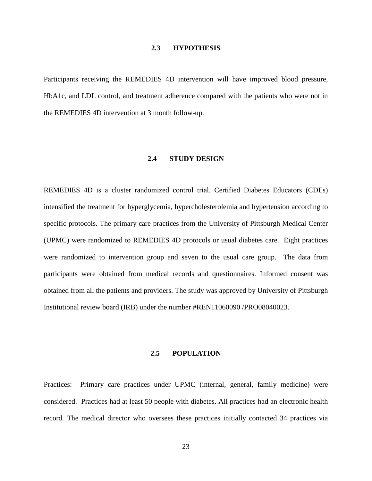## **2.3 HYPOTHESIS**

<span id="page-32-1"></span><span id="page-32-0"></span>Participants receiving the REMEDIES 4D intervention will have improved blood pressure, HbA1c, and LDL control, and treatment adherence compared with the patients who were not in the REMEDIES 4D intervention at 3 month follow-up.

#### **2.4 STUDY DESIGN**

REMEDIES 4D is a cluster randomized control trial. Certified Diabetes Educators (CDEs) intensified the treatment for hyperglycemia, hypercholesterolemia and hypertension according to specific protocols. The primary care practices from the University of Pittsburgh Medical Center (UPMC) were randomized to REMEDIES 4D protocols or usual diabetes care. Eight practices were randomized to intervention group and seven to the usual care group. The data from participants were obtained from medical records and questionnaires. Informed consent was obtained from all the patients and providers. The study was approved by University of Pittsburgh Institutional review board (IRB) under the number #REN11060090 /PRO08040023.

#### **2.5 POPULATION**

<span id="page-32-2"></span>Practices: Primary care practices under UPMC (internal, general, family medicine) were considered. Practices had at least 50 people with diabetes. All practices had an electronic health record. The medical director who oversees these practices initially contacted 34 practices via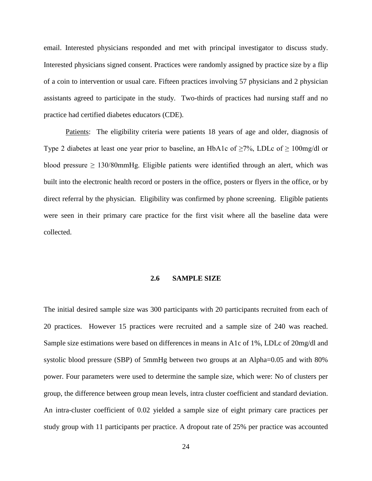email. Interested physicians responded and met with principal investigator to discuss study. Interested physicians signed consent. Practices were randomly assigned by practice size by a flip of a coin to intervention or usual care. Fifteen practices involving 57 physicians and 2 physician assistants agreed to participate in the study. Two-thirds of practices had nursing staff and no practice had certified diabetes educators (CDE).

Patients: The eligibility criteria were patients 18 years of age and older, diagnosis of Type 2 diabetes at least one year prior to baseline, an HbA1c of  $\geq$ 7%, LDLc of  $\geq$  100mg/dl or blood pressure  $\geq 130/80$ mmHg. Eligible patients were identified through an alert, which was built into the electronic health record or posters in the office, posters or flyers in the office, or by direct referral by the physician. Eligibility was confirmed by phone screening. Eligible patients were seen in their primary care practice for the first visit where all the baseline data were collected.

#### **2.6 SAMPLE SIZE**

<span id="page-33-0"></span>The initial desired sample size was 300 participants with 20 participants recruited from each of 20 practices. However 15 practices were recruited and a sample size of 240 was reached. Sample size estimations were based on differences in means in A1c of 1%, LDLc of 20mg/dl and systolic blood pressure (SBP) of 5mmHg between two groups at an Alpha=0.05 and with 80% power. Four parameters were used to determine the sample size, which were: No of clusters per group, the difference between group mean levels, intra cluster coefficient and standard deviation. An intra-cluster coefficient of 0.02 yielded a sample size of eight primary care practices per study group with 11 participants per practice. A dropout rate of 25% per practice was accounted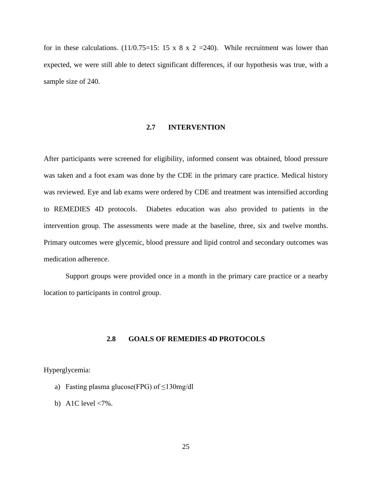<span id="page-34-0"></span>for in these calculations. (11/0.75=15: 15 x 8 x 2 = 240). While recruitment was lower than expected, we were still able to detect significant differences, if our hypothesis was true, with a sample size of 240.

### **2.7 INTERVENTION**

After participants were screened for eligibility, informed consent was obtained, blood pressure was taken and a foot exam was done by the CDE in the primary care practice. Medical history was reviewed. Eye and lab exams were ordered by CDE and treatment was intensified according to REMEDIES 4D protocols. Diabetes education was also provided to patients in the intervention group. The assessments were made at the baseline, three, six and twelve months. Primary outcomes were glycemic, blood pressure and lipid control and secondary outcomes was medication adherence.

<span id="page-34-1"></span>Support groups were provided once in a month in the primary care practice or a nearby location to participants in control group.

## **2.8 GOALS OF REMEDIES 4D PROTOCOLS**

# Hyperglycemia:

- a) Fasting plasma glucose(FPG) of  $\leq$ 130mg/dl
- b) A1C level  $\langle 7\% \rangle$ .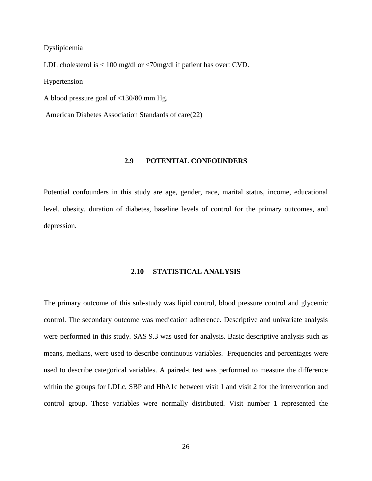#### Dyslipidemia

LDL cholesterol is < 100 mg/dl or <70mg/dl if patient has overt CVD.

Hypertension

A blood pressure goal of <130/80 mm Hg.

<span id="page-35-0"></span>American Diabetes Association Standards of care(22)

# **2.9 POTENTIAL CONFOUNDERS**

<span id="page-35-1"></span>Potential confounders in this study are age, gender, race, marital status, income, educational level, obesity, duration of diabetes, baseline levels of control for the primary outcomes, and depression.

# **2.10 STATISTICAL ANALYSIS**

The primary outcome of this sub-study was lipid control, blood pressure control and glycemic control. The secondary outcome was medication adherence. Descriptive and univariate analysis were performed in this study. SAS 9.3 was used for analysis. Basic descriptive analysis such as means, medians, were used to describe continuous variables. Frequencies and percentages were used to describe categorical variables. A paired-t test was performed to measure the difference within the groups for LDLc, SBP and HbA1c between visit 1 and visit 2 for the intervention and control group. These variables were normally distributed. Visit number 1 represented the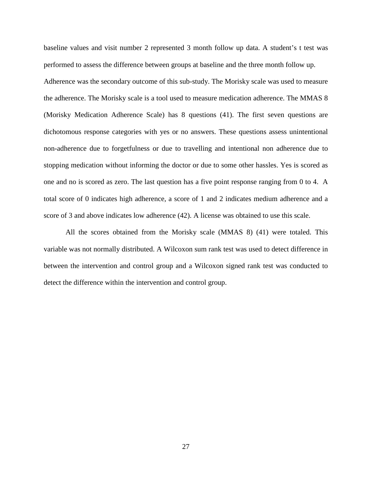baseline values and visit number 2 represented 3 month follow up data. A student's t test was performed to assess the difference between groups at baseline and the three month follow up. Adherence was the secondary outcome of this sub-study. The Morisky scale was used to measure the adherence. The Morisky scale is a tool used to measure medication adherence. The MMAS 8 (Morisky Medication Adherence Scale) has 8 questions (41). The first seven questions are dichotomous response categories with yes or no answers. These questions assess unintentional non-adherence due to forgetfulness or due to travelling and intentional non adherence due to stopping medication without informing the doctor or due to some other hassles. Yes is scored as one and no is scored as zero. The last question has a five point response ranging from 0 to 4. A total score of 0 indicates high adherence, a score of 1 and 2 indicates medium adherence and a score of 3 and above indicates low adherence (42). A license was obtained to use this scale.

All the scores obtained from the Morisky scale (MMAS 8) (41) were totaled. This variable was not normally distributed. A Wilcoxon sum rank test was used to detect difference in between the intervention and control group and a Wilcoxon signed rank test was conducted to detect the difference within the intervention and control group.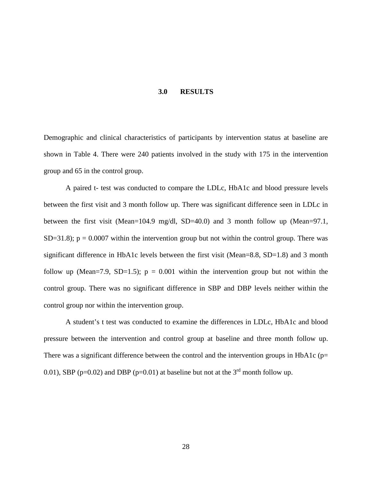#### **3.0 RESULTS**

<span id="page-37-0"></span>Demographic and clinical characteristics of participants by intervention status at baseline are shown in Table 4. There were 240 patients involved in the study with 175 in the intervention group and 65 in the control group.

A paired t- test was conducted to compare the LDLc, HbA1c and blood pressure levels between the first visit and 3 month follow up. There was significant difference seen in LDLc in between the first visit (Mean=104.9 mg/dl, SD=40.0) and 3 month follow up (Mean=97.1, SD=31.8);  $p = 0.0007$  within the intervention group but not within the control group. There was significant difference in HbA1c levels between the first visit (Mean=8.8,  $SD=1.8$ ) and 3 month follow up (Mean=7.9, SD=1.5);  $p = 0.001$  within the intervention group but not within the control group. There was no significant difference in SBP and DBP levels neither within the control group nor within the intervention group.

A student's t test was conducted to examine the differences in LDLc, HbA1c and blood pressure between the intervention and control group at baseline and three month follow up. There was a significant difference between the control and the intervention groups in HbA1c ( $p=$ 0.01), SBP ( $p=0.02$ ) and DBP ( $p=0.01$ ) at baseline but not at the 3<sup>rd</sup> month follow up.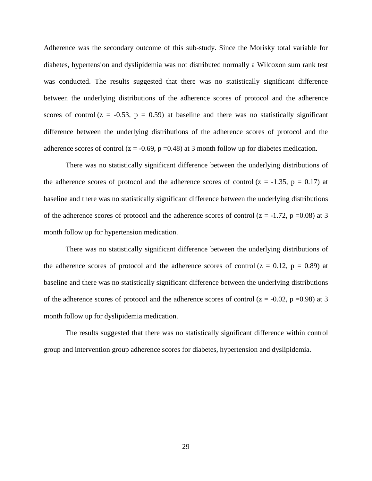Adherence was the secondary outcome of this sub-study. Since the Morisky total variable for diabetes, hypertension and dyslipidemia was not distributed normally a Wilcoxon sum rank test was conducted. The results suggested that there was no statistically significant difference between the underlying distributions of the adherence scores of protocol and the adherence scores of control  $(z = -0.53, p = 0.59)$  at baseline and there was no statistically significant difference between the underlying distributions of the adherence scores of protocol and the adherence scores of control ( $z = -0.69$ ,  $p = 0.48$ ) at 3 month follow up for diabetes medication.

There was no statistically significant difference between the underlying distributions of the adherence scores of protocol and the adherence scores of control ( $z = -1.35$ ,  $p = 0.17$ ) at baseline and there was no statistically significant difference between the underlying distributions of the adherence scores of protocol and the adherence scores of control  $(z = -1.72, p = 0.08)$  at 3 month follow up for hypertension medication.

There was no statistically significant difference between the underlying distributions of the adherence scores of protocol and the adherence scores of control  $(z = 0.12, p = 0.89)$  at baseline and there was no statistically significant difference between the underlying distributions of the adherence scores of protocol and the adherence scores of control  $(z = -0.02, p = 0.98)$  at 3 month follow up for dyslipidemia medication.

The results suggested that there was no statistically significant difference within control group and intervention group adherence scores for diabetes, hypertension and dyslipidemia.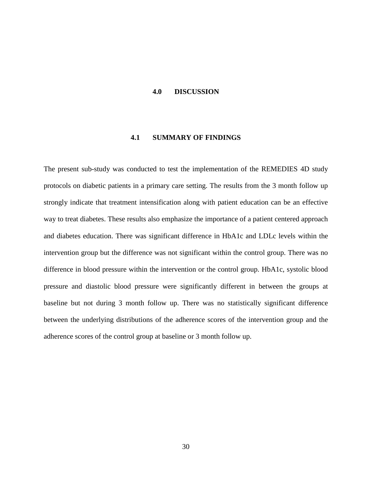#### <span id="page-39-0"></span>**4.0 DISCUSSION**

# **4.1 SUMMARY OF FINDINGS**

<span id="page-39-1"></span>The present sub-study was conducted to test the implementation of the REMEDIES 4D study protocols on diabetic patients in a primary care setting. The results from the 3 month follow up strongly indicate that treatment intensification along with patient education can be an effective way to treat diabetes. These results also emphasize the importance of a patient centered approach and diabetes education. There was significant difference in HbA1c and LDLc levels within the intervention group but the difference was not significant within the control group. There was no difference in blood pressure within the intervention or the control group. HbA1c, systolic blood pressure and diastolic blood pressure were significantly different in between the groups at baseline but not during 3 month follow up. There was no statistically significant difference between the underlying distributions of the adherence scores of the intervention group and the adherence scores of the control group at baseline or 3 month follow up.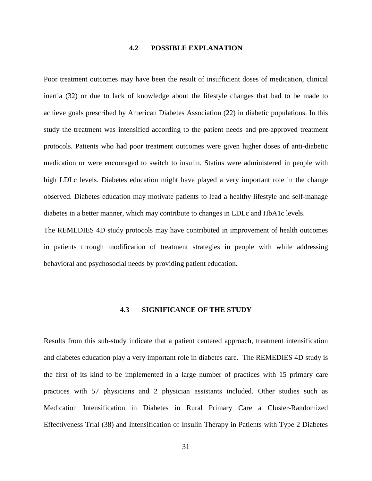# **4.2 POSSIBLE EXPLANATION**

<span id="page-40-0"></span>Poor treatment outcomes may have been the result of insufficient doses of medication, clinical inertia (32) or due to lack of knowledge about the lifestyle changes that had to be made to achieve goals prescribed by American Diabetes Association (22) in diabetic populations. In this study the treatment was intensified according to the patient needs and pre-approved treatment protocols. Patients who had poor treatment outcomes were given higher doses of anti-diabetic medication or were encouraged to switch to insulin. Statins were administered in people with high LDLc levels. Diabetes education might have played a very important role in the change observed. Diabetes education may motivate patients to lead a healthy lifestyle and self-manage diabetes in a better manner, which may contribute to changes in LDLc and HbA1c levels.

<span id="page-40-1"></span>The REMEDIES 4D study protocols may have contributed in improvement of health outcomes in patients through modification of treatment strategies in people with while addressing behavioral and psychosocial needs by providing patient education.

#### **4.3 SIGNIFICANCE OF THE STUDY**

Results from this sub-study indicate that a patient centered approach, treatment intensification and diabetes education play a very important role in diabetes care. The REMEDIES 4D study is the first of its kind to be implemented in a large number of practices with 15 primary care practices with 57 physicians and 2 physician assistants included. Other studies such as Medication Intensification in Diabetes in Rural Primary Care a Cluster-Randomized Effectiveness Trial (38) and Intensification of Insulin Therapy in Patients with Type 2 Diabetes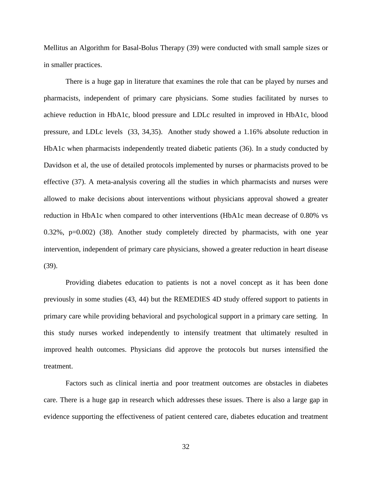Mellitus an Algorithm for Basal-Bolus Therapy (39) were conducted with small sample sizes or in smaller practices.

There is a huge gap in literature that examines the role that can be played by nurses and pharmacists, independent of primary care physicians. Some studies facilitated by nurses to achieve reduction in HbA1c, blood pressure and LDLc resulted in improved in HbA1c, blood pressure, and LDLc levels (33, 34,35). Another study showed a 1.16% absolute reduction in HbA1c when pharmacists independently treated diabetic patients (36). In a study conducted by Davidson et al, the use of detailed protocols implemented by nurses or pharmacists proved to be effective (37). A meta-analysis covering all the studies in which pharmacists and nurses were allowed to make decisions about interventions without physicians approval showed a greater reduction in HbA1c when compared to other interventions (HbA1c mean decrease of 0.80% vs 0.32%, p=0.002) (38). Another study completely directed by pharmacists, with one year intervention, independent of primary care physicians, showed a greater reduction in heart disease (39).

Providing diabetes education to patients is not a novel concept as it has been done previously in some studies (43, 44) but the REMEDIES 4D study offered support to patients in primary care while providing behavioral and psychological support in a primary care setting. In this study nurses worked independently to intensify treatment that ultimately resulted in improved health outcomes. Physicians did approve the protocols but nurses intensified the treatment.

Factors such as clinical inertia and poor treatment outcomes are obstacles in diabetes care. There is a huge gap in research which addresses these issues. There is also a large gap in evidence supporting the effectiveness of patient centered care, diabetes education and treatment

32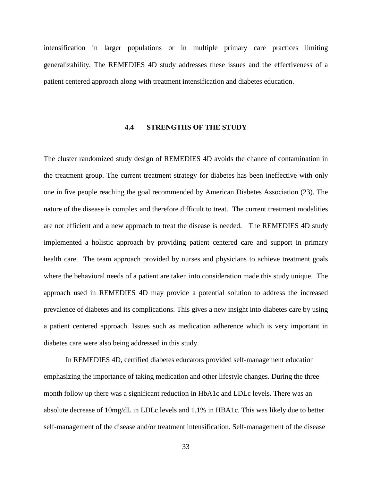<span id="page-42-0"></span>intensification in larger populations or in multiple primary care practices limiting generalizability. The REMEDIES 4D study addresses these issues and the effectiveness of a patient centered approach along with treatment intensification and diabetes education.

# **4.4 STRENGTHS OF THE STUDY**

The cluster randomized study design of REMEDIES 4D avoids the chance of contamination in the treatment group. The current treatment strategy for diabetes has been ineffective with only one in five people reaching the goal recommended by American Diabetes Association (23). The nature of the disease is complex and therefore difficult to treat. The current treatment modalities are not efficient and a new approach to treat the disease is needed. The REMEDIES 4D study implemented a holistic approach by providing patient centered care and support in primary health care. The team approach provided by nurses and physicians to achieve treatment goals where the behavioral needs of a patient are taken into consideration made this study unique. The approach used in REMEDIES 4D may provide a potential solution to address the increased prevalence of diabetes and its complications. This gives a new insight into diabetes care by using a patient centered approach. Issues such as medication adherence which is very important in diabetes care were also being addressed in this study.

In REMEDIES 4D, certified diabetes educators provided self-management education emphasizing the importance of taking medication and other lifestyle changes. During the three month follow up there was a significant reduction in HbA1c and LDLc levels. There was an absolute decrease of 10mg/dL in LDLc levels and 1.1% in HBA1c. This was likely due to better self-management of the disease and/or treatment intensification. Self-management of the disease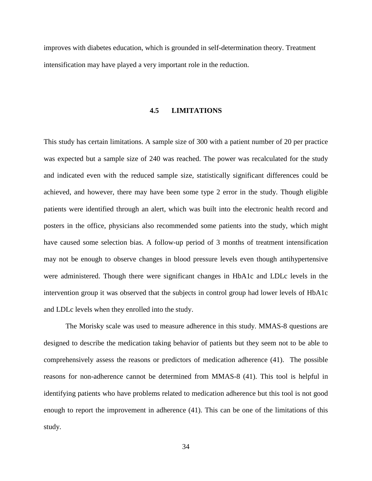<span id="page-43-0"></span>improves with diabetes education, which is grounded in self-determination theory. Treatment intensification may have played a very important role in the reduction.

#### **4.5 LIMITATIONS**

This study has certain limitations. A sample size of 300 with a patient number of 20 per practice was expected but a sample size of 240 was reached. The power was recalculated for the study and indicated even with the reduced sample size, statistically significant differences could be achieved, and however, there may have been some type 2 error in the study. Though eligible patients were identified through an alert, which was built into the electronic health record and posters in the office, physicians also recommended some patients into the study, which might have caused some selection bias. A follow-up period of 3 months of treatment intensification may not be enough to observe changes in blood pressure levels even though antihypertensive were administered. Though there were significant changes in HbA1c and LDLc levels in the intervention group it was observed that the subjects in control group had lower levels of HbA1c and LDLc levels when they enrolled into the study.

The Morisky scale was used to measure adherence in this study. MMAS-8 questions are designed to describe the medication taking behavior of patients but they seem not to be able to comprehensively assess the reasons or predictors of medication adherence (41). The possible reasons for non-adherence cannot be determined from MMAS-8 (41). This tool is helpful in identifying patients who have problems related to medication adherence but this tool is not good enough to report the improvement in adherence (41). This can be one of the limitations of this study.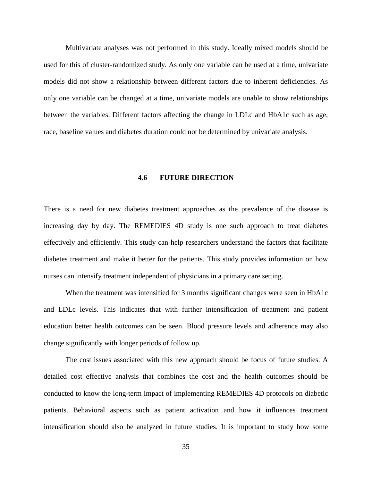Multivariate analyses was not performed in this study. Ideally mixed models should be used for this of cluster-randomized study. As only one variable can be used at a time, univariate models did not show a relationship between different factors due to inherent deficiencies. As only one variable can be changed at a time, univariate models are unable to show relationships between the variables. Different factors affecting the change in LDLc and HbA1c such as age, race, baseline values and diabetes duration could not be determined by univariate analysis.

#### **4.6 FUTURE DIRECTION**

<span id="page-44-0"></span>There is a need for new diabetes treatment approaches as the prevalence of the disease is increasing day by day. The REMEDIES 4D study is one such approach to treat diabetes effectively and efficiently. This study can help researchers understand the factors that facilitate diabetes treatment and make it better for the patients. This study provides information on how nurses can intensify treatment independent of physicians in a primary care setting.

When the treatment was intensified for 3 months significant changes were seen in HbA1c and LDLc levels. This indicates that with further intensification of treatment and patient education better health outcomes can be seen. Blood pressure levels and adherence may also change significantly with longer periods of follow up.

The cost issues associated with this new approach should be focus of future studies. A detailed cost effective analysis that combines the cost and the health outcomes should be conducted to know the long-term impact of implementing REMEDIES 4D protocols on diabetic patients. Behavioral aspects such as patient activation and how it influences treatment intensification should also be analyzed in future studies. It is important to study how some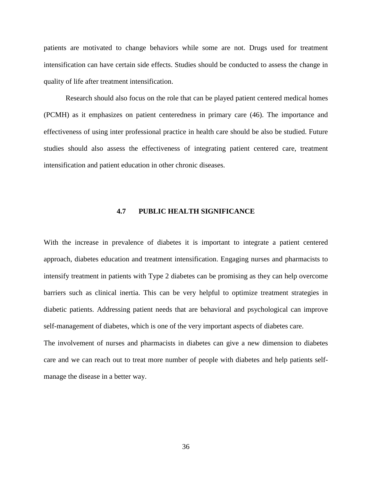patients are motivated to change behaviors while some are not. Drugs used for treatment intensification can have certain side effects. Studies should be conducted to assess the change in quality of life after treatment intensification.

Research should also focus on the role that can be played patient centered medical homes (PCMH) as it emphasizes on patient centeredness in primary care (46). The importance and effectiveness of using inter professional practice in health care should be also be studied. Future studies should also assess the effectiveness of integrating patient centered care, treatment intensification and patient education in other chronic diseases.

# **4.7 PUBLIC HEALTH SIGNIFICANCE**

<span id="page-45-0"></span>With the increase in prevalence of diabetes it is important to integrate a patient centered approach, diabetes education and treatment intensification. Engaging nurses and pharmacists to intensify treatment in patients with Type 2 diabetes can be promising as they can help overcome barriers such as clinical inertia. This can be very helpful to optimize treatment strategies in diabetic patients. Addressing patient needs that are behavioral and psychological can improve self-management of diabetes, which is one of the very important aspects of diabetes care.

The involvement of nurses and pharmacists in diabetes can give a new dimension to diabetes care and we can reach out to treat more number of people with diabetes and help patients selfmanage the disease in a better way.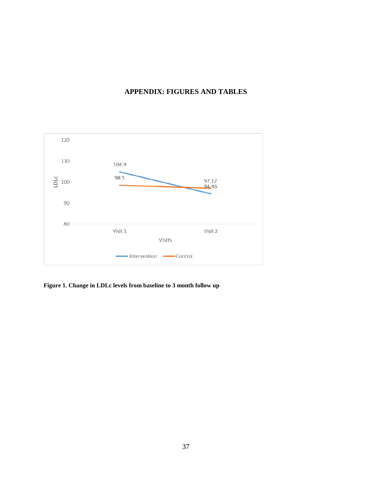# **APPENDIX: FIGURES AND TABLES**

<span id="page-46-0"></span>

<span id="page-46-1"></span>**Figure 1. Change in LDLc levels from baseline to 3 month follow up**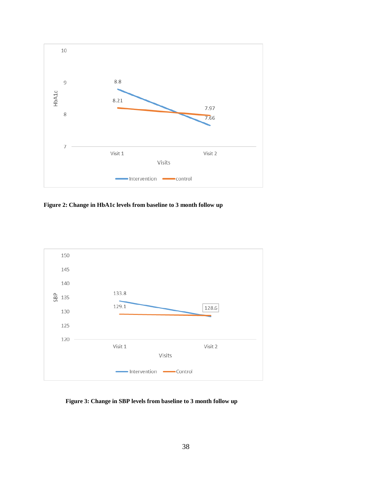

<span id="page-47-0"></span>**Figure 2: Change in HbA1c levels from baseline to 3 month follow up**



<span id="page-47-1"></span>**Figure 3: Change in SBP levels from baseline to 3 month follow up**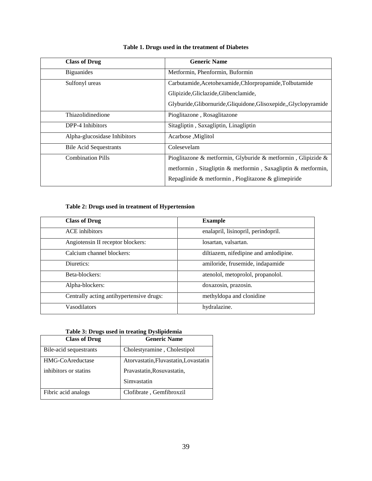<span id="page-48-0"></span>

| <b>Class of Drug</b>          | <b>Generic Name</b>                                              |
|-------------------------------|------------------------------------------------------------------|
| <b>Biguanides</b>             | Metformin, Phenformin, Buformin                                  |
| Sulfonyl ureas                | Carbutamide, Acetohexamide, Chlorpropamide, Tolbutamide          |
|                               | Glipizide, Gliclazide, Glibenclamide,                            |
|                               | Glyburide, Glibornuride, Gliquidone, Glisoxepide, Glyclopyramide |
| Thiazolidinedione             | Pioglitazone, Rosaglitazone                                      |
| DPP-4 Inhibitors              | Sitagliptin, Saxagliptin, Linagliptin                            |
| Alpha-glucosidase Inhibitors  | Acarbose , Miglitol                                              |
| <b>Bile Acid Sequestrants</b> | Colesevelam                                                      |
| <b>Combination Pills</b>      | Pioglitazone & metformin, Glyburide & metformin, Glipizide &     |
|                               | metformin, Sitagliptin & metformin, Saxagliptin & metformin,     |
|                               | Repaglinide & metformin, Pioglitazone & glimepiride              |

# **Table 1. Drugs used in the treatment of Diabetes**

# **Table 2: Drugs used in treatment of Hypertension**

<span id="page-48-1"></span>

| <b>Class of Drug</b>                     | <b>Example</b>                        |
|------------------------------------------|---------------------------------------|
| <b>ACE</b> inhibitors                    | enalapril, lisinopril, perindopril.   |
| Angiotensin II receptor blockers:        | losartan, valsartan.                  |
| Calcium channel blockers:                | diltiazem, nifedipine and amlodipine. |
| Diuretics:                               | amiloride, frusemide, indapamide      |
| Beta-blockers:                           | atenolol, metoprolol, propanolol.     |
| Alpha-blockers:                          | doxazosin, prazosin.                  |
| Centrally acting antihypertensive drugs: | methyldopa and clonidine              |
| Vasodilators                             | hydralazine.                          |

<span id="page-48-2"></span>

| <b>Class of Drug</b>   | <b>Generic Name</b>                   |
|------------------------|---------------------------------------|
| Bile-acid sequestrants | Cholestyramine, Cholestipol           |
| HMG-CoAreductase       | Atorvastatin, Fluvastatin, Lovastatin |
| inhibitors or statins  | Pravastatin, Rosuvastatin,            |
|                        | Simvastatin                           |
| Fibric acid analogs    | Clofibrate, Gemfibroxzil              |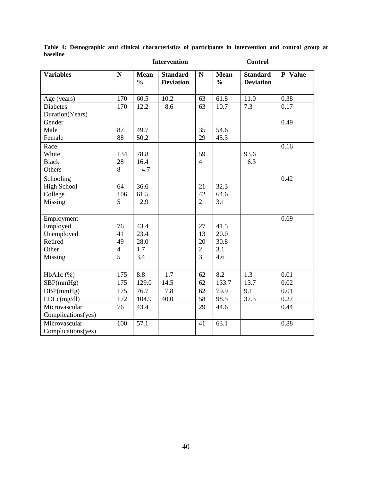|                                    | <b>Intervention</b> |                              |                                     |                | <b>Control</b>               |                                     |                |
|------------------------------------|---------------------|------------------------------|-------------------------------------|----------------|------------------------------|-------------------------------------|----------------|
| <b>Variables</b>                   | $\mathbf N$         | <b>Mean</b><br>$\frac{0}{0}$ | <b>Standard</b><br><b>Deviation</b> | $\mathbf N$    | <b>Mean</b><br>$\frac{0}{0}$ | <b>Standard</b><br><b>Deviation</b> | <b>P-Value</b> |
| Age (years)                        | 170                 | 60.5                         | 10.2                                | 63             | 61.8                         | 11.0                                | 0.38           |
| <b>Diabetes</b><br>Duration(Years) | 170                 | 12.2                         | 8.6                                 | 63             | 10.7                         | 7.3                                 | 0.17           |
| Gender                             |                     |                              |                                     |                |                              |                                     | 0.49           |
| Male                               | 87                  | 49.7                         |                                     | 35             | 54.6                         |                                     |                |
| Female                             | 88                  | 50.2                         |                                     | 29             | 45.3                         |                                     |                |
| Race                               |                     |                              |                                     |                |                              |                                     | 0.16           |
| White                              | 134                 | 78.8                         |                                     | 59             |                              | 93.6                                |                |
| <b>Black</b>                       | 28                  | 16.4                         |                                     | $\overline{4}$ |                              | 6.3                                 |                |
| Others                             | 8                   | 4.7                          |                                     |                |                              |                                     |                |
| Schooling                          |                     |                              |                                     |                |                              |                                     | 0.42           |
| <b>High School</b>                 | 64                  | 36.6                         |                                     | 21             | 32.3                         |                                     |                |
| College                            | 106                 | 61.5                         |                                     | 42             | 64.6                         |                                     |                |
| Missing                            | 5                   | 2.9                          |                                     | $\overline{2}$ | 3.1                          |                                     |                |
| Employment                         |                     |                              |                                     |                |                              |                                     | 0.69           |
| Employed                           | 76                  | 43.4                         |                                     | 27             | 41.5                         |                                     |                |
| Unemployed                         | 41                  | 23.4                         |                                     | 13             | 20.0                         |                                     |                |
| Retired                            | 49                  | 28.0                         |                                     | 20             | 30.8                         |                                     |                |
| Other                              | $\overline{4}$      | 1.7                          |                                     | $\overline{2}$ | 3.1                          |                                     |                |
| Missing                            | 5                   | 3.4                          |                                     | $\overline{3}$ | 4.6                          |                                     |                |
| $HbA1c$ (%)                        | 175                 | 8.8                          | 1.7                                 | 62             | 8.2                          | 1.3                                 | 0.01           |
| SBP(mmHg)                          | 175                 | 129.0                        | 14.5                                | 62             | 133.7                        | 13.7                                | 0.02           |
| DBP(mmHg)                          | 175                 | 76.7                         | 7.8                                 | 62             | 79.9                         | 9.1                                 | 0.01           |
| LDLc(mg/dl)                        | 172                 | 104.9                        | 40.0                                | 58             | 98.5                         | 37.3                                | 0.27           |
| Microvascular                      | 76                  | 43.4                         |                                     | 29             | 44.6                         |                                     | 0.44           |
| Complications(yes)                 |                     |                              |                                     |                |                              |                                     |                |
| Microvascular                      | 100                 | $\overline{57.1}$            |                                     | 41             | 63.1                         |                                     | 0.88           |
| Complications(yes)                 |                     |                              |                                     |                |                              |                                     |                |

<span id="page-49-0"></span>**Table 4: Demographic and clinical characteristics of participants in intervention and control group at baseline**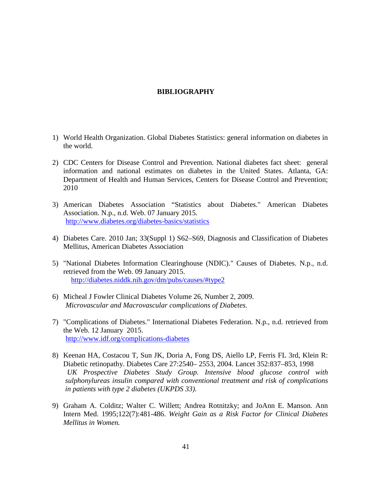# **BIBLIOGRAPHY**

- <span id="page-50-0"></span>1) World Health Organization. Global Diabetes Statistics: general information on diabetes in the world.
- 2) CDC Centers for Disease Control and Prevention. National diabetes fact sheet: general information and national estimates on diabetes in the United States. Atlanta, GA: Department of Health and Human Services, Centers for Disease Control and Prevention; 2010
- 3) American Diabetes Association "Statistics about Diabetes." American Diabetes Association. N.p., n.d. Web. 07 January 2015. <http://www.diabetes.org/diabetes-basics/statistics>
- 4) Diabetes Care. 2010 Jan; 33(Suppl 1) S62–S69, Diagnosis and Classification of Diabetes Mellitus, American Diabetes Association
- 5) "National Diabetes Information Clearinghouse (NDIC)." Causes of Diabetes. N.p., n.d. retrieved from the Web. 09 January 2015. [http://diabetes.niddk.nih.gov/dm/pubs/causes/#type2](http://diabetes.niddk.nih.gov/dm/pubs/causes/%23type2)
- 6) Micheal J Fowler Clinical Diabetes Volume 26, Number 2, 2009. *Microvascular and Macrovascular complications of Diabetes*.
- 7) "Complications of Diabetes." International Diabetes Federation. N.p., n.d. retrieved from the Web. 12 January 2015. <http://www.idf.org/complications-diabetes>
- 8) Keenan HA, Costacou T, Sun JK, Doria A, Fong DS, Aiello LP, Ferris FL 3rd, Klein R: Diabetic retinopathy. Diabetes Care 27:2540– 2553, 2004. Lancet 352:837–853, 1998 *UK Prospective Diabetes Study Group. Intensive blood glucose control with sulphonylureas insulin compared with conventional treatment and risk of complications in patients with type 2 diabetes (UKPDS 33).*
- 9) Graham A. Colditz; Walter C. Willett; Andrea Rotnitzky; and JoAnn E. Manson. Ann Intern Med. 1995;122(7):481-486. *Weight Gain as a Risk Factor for Clinical Diabetes Mellitus in Women.*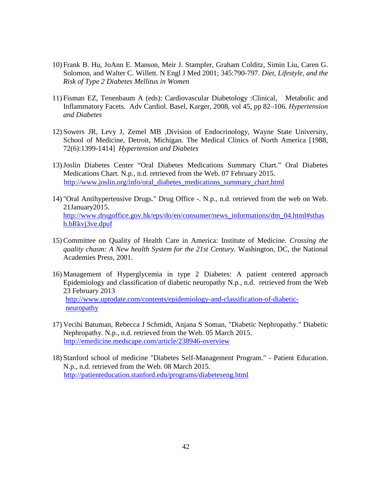- 10) Frank B. Hu, JoAnn E. Manson, Meir J. Stampfer, Graham Colditz, Simin Liu, Caren G. Solomon, and Walter C. Willett. N Engl J Med 2001; 345:790-797. *Diet, Lifestyle, and the Risk of Type 2 Diabetes Mellitus in Women*
- 11) Fisman EZ, Tenenbaum A (eds): Cardiovascular Diabetology :Clinical, Metabolic and Inflammatory Facets. Adv Cardiol. Basel, Karger, 2008, vol 45, pp 82–106. *Hypertension and Diabetes*
- 12) Sowers JR, Levy J, Zemel MB ,Division of Endocrinology, Wayne State University, School of Medicine, Detroit, Michigan. The Medical Clinics of North America [1988, 72(6):1399-1414] *Hypertension and Diabetes*
- 13)Joslin Diabetes Center "Oral Diabetes Medications Summary Chart." Oral Diabetes Medications Chart. N.p., n.d. retrieved from the Web. 07 February 2015. [http://www.joslin.org/info/oral\\_diabetes\\_medications\\_summary\\_chart.html](http://www.joslin.org/info/oral_diabetes_medications_summary_chart.html)
- 14) "Oral Antihypertensive Drugs." Drug Office -. N.p., n.d. retrieved from the web on Web. 21January2015. [http://www.drugoffice.gov.hk/eps/do/en/consumer/news\\_informations/dm\\_04.html#sthas](http://www.drugoffice.gov.hk/eps/do/en/consumer/news_informations/dm_04.html%23sthash.bRkvj3ve.dpuf) [h.bRkvj3ve.dpuf](http://www.drugoffice.gov.hk/eps/do/en/consumer/news_informations/dm_04.html%23sthash.bRkvj3ve.dpuf)
- 15) Committee on Quality of Health Care in America: Institute of Medicine. *Crossing the quality chasm: A New health System for the 21st Century.* Washington, DC, the National Academies Press, 2001.
- 16) Management of Hyperglycemia in type 2 Diabetes: A patient centered approach Epidemiology and classification of diabetic neuropathy N.p., n.d. retrieved from the Web 23 February 2013 [http://www.uptodate.com/contents/epidemiology-and-classification-of-diabetic](http://www.uptodate.com/contents/epidemiology-and-classification-of-diabetic-%20neuropathy)[neuropathy](http://www.uptodate.com/contents/epidemiology-and-classification-of-diabetic-%20neuropathy)
- 17) Vecihi Batuman, Rebecca J Schmidt, Anjana S Soman, "Diabetic Nephropathy." Diabetic Nephropathy. N.p., n.d. retrieved from the Web. 05 March 2015. <http://emedicine.medscape.com/article/238946-overview>
- 18) Stanford school of medicine "Diabetes Self-Management Program." Patient Education. N.p., n.d. retrieved from the Web. 08 March 2015. <http://patienteducation.stanford.edu/programs/diabeteseng.html>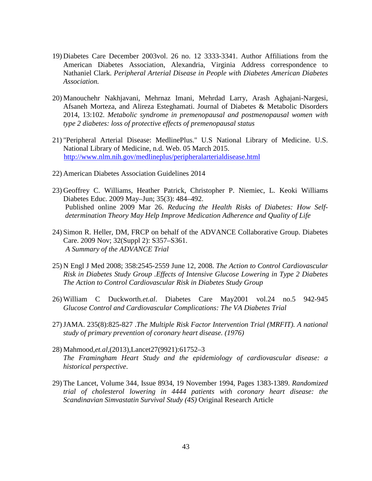- 19) Diabetes Care December 2003vol. 26 no. 12 3333-3341. Author Affiliations from the American Diabetes Association, Alexandria, Virginia Address correspondence to Nathaniel Clark. *Peripheral Arterial Disease in People with Diabetes American Diabetes Association.*
- 20) Manouchehr Nakhjavani, Mehrnaz Imani, Mehrdad Larry, Arash Aghajani-Nargesi, Afsaneh Morteza, and Alireza Esteghamati. Journal of Diabetes & Metabolic Disorders 2014, 13:102. *Metabolic syndrome in premenopausal and postmenopausal women with type 2 diabetes: loss of protective effects of premenopausal status*
- 21) "Peripheral Arterial Disease: MedlinePlus." U.S National Library of Medicine. U.S. National Library of Medicine, n.d. Web. 05 March 2015. <http://www.nlm.nih.gov/medlineplus/peripheralarterialdisease.html>
- 22) American Diabetes Association Guidelines 2014
- 23) Geoffrey C. Williams, Heather Patrick, Christopher P. Niemiec, L. Keoki Williams Diabetes Educ. 2009 May–Jun; 35(3): 484–492. Published online 2009 Mar 26. *Reducing the Health Risks of Diabetes: How Selfdetermination Theory May Help Improve Medication Adherence and Quality of Life*
- 24) Simon R. Heller, DM, FRCP on behalf of the ADVANCE Collaborative Group. Diabetes Care. 2009 Nov; 32(Suppl 2): S357–S361. *A Summary of the ADVANCE Trial*
- 25) N Engl J Med 2008; 358:2545-2559 June 12, 2008. *The Action to Control Cardiovascular Risk in Diabetes Study Group .Effects of Intensive Glucose Lowering in Type 2 Diabetes The Action to Control Cardiovascular Risk in Diabetes Study Group*
- 26) William C Duckworth*.et.al*. Diabetes Care May2001 vol.24 no.5 942-945 *Glucose Control and Cardiovascular Complications: The VA Diabetes Trial*
- 27)JAMA. 235(8):825-827 .*The Multiple Risk Factor Intervention Trial (MRFIT). A national study of primary prevention of coronary heart disease. (1976)*
- 28) Mahmood,*et.al*,(2013),Lancet27(9921):61752–3 *The Framingham Heart Study and the epidemiology of cardiovascular disease: a historical perspective*.
- 29) The Lancet, Volume 344, Issue 8934, 19 November 1994, Pages 1383-1389. *Randomized trial of cholesterol lowering in 4444 patients with coronary heart disease: the Scandinavian Simvastatin Survival Study (4S)* Original Research Article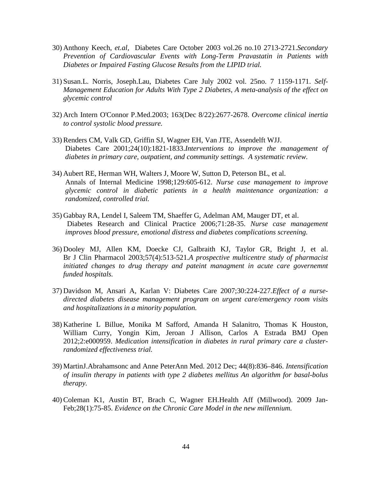- 30) Anthony Keech, *et.al,* Diabetes Care October 2003 vol.26 no.10 2713-2721.*Secondary Prevention of Cardiovascular Events with Long-Term Pravastatin in Patients with Diabetes or Impaired Fasting Glucose Results from the LIPID trial.*
- 31) Susan.L. Norris, Joseph.Lau, Diabetes Care July 2002 vol. 25no. 7 1159-1171. *Self-Management Education for Adults With Type 2 Diabetes, A meta-analysis of the effect on glycemic control*
- 32) Arch Intern O'Connor P.Med.2003; 163(Dec 8/22):2677-2678. *Overcome clinical inertia to control systolic blood pressure.*
- 33) Renders CM, Valk GD, Griffin SJ, Wagner EH, Van JTE, Assendelft WJJ. Diabetes Care 2001;24(10):1821-1833.*Interventions to improve the management of diabetes in primary care, outpatient, and community settings. A systematic review.*
- 34) Aubert RE, Herman WH, Walters J, Moore W, Sutton D, Peterson BL, et al. Annals of Internal Medicine 1998;129:605-612. *Nurse case management to improve glycemic control in diabetic patients in a health maintenance organization: a randomized, controlled trial.*
- 35) Gabbay RA, Lendel I, Saleem TM, Shaeffer G, Adelman AM, Mauger DT, et al. Diabetes Research and Clinical Practice 2006;71:28-35. *Nurse case management improves blood pressure, emotional distress and diabetes complications screening.*
- 36) Dooley MJ, Allen KM, Doecke CJ, Galbraith KJ, Taylor GR, Bright J, et al. Br J Clin Pharmacol 2003;57(4):513-521.*A prospective multicentre study of pharmacist initiated changes to drug therapy and pateint managment in acute care governemnt funded hospitals.*
- 37) Davidson M, Ansari A, Karlan V: Diabetes Care 2007;30:224-227*.Effect of a nursedirected diabetes disease management program on urgent care/emergency room visits and hospitalizations in a minority population.*
- 38) Katherine L Billue, Monika M Safford, Amanda H Salanitro, Thomas K Houston, William Curry, Yongin Kim, Jeroan J Allison, Carlos A Estrada BMJ Open 2012;2:e000959. *Medication intensification in diabetes in rural primary care a clusterrandomized effectiveness trial.*
- 39) MartinJ.Abrahamsonc and Anne PeterAnn Med. 2012 Dec; 44(8):836–846. *Intensification of insulin therapy in patients with type 2 diabetes mellitus An algorithm for basal-bolus therapy.*
- 40) Coleman K1, Austin BT, Brach C, Wagner EH.Health Aff (Millwood). 2009 Jan-Feb;28(1):75-85. *Evidence on the Chronic Care Model in the new millennium.*